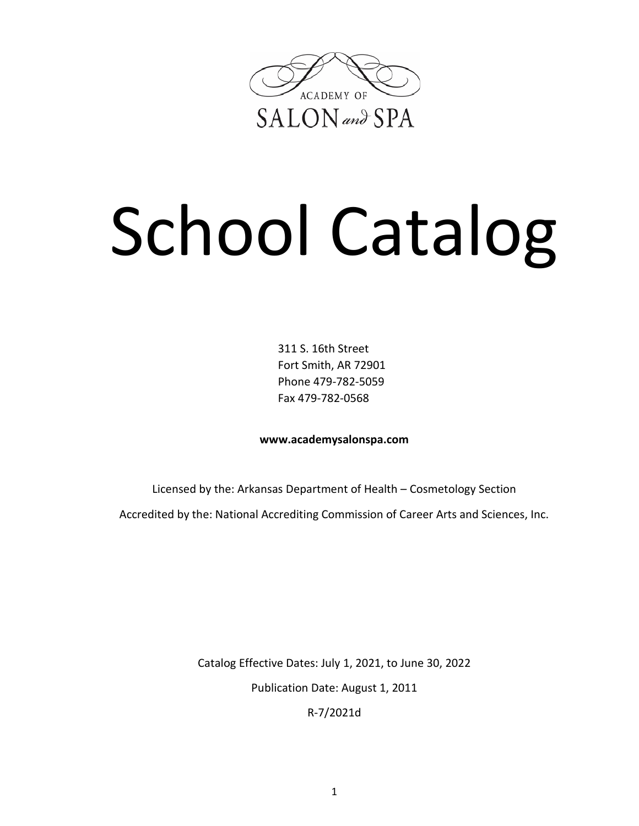

# School Catalog

311 S. 16th Street Fort Smith, AR 72901 Phone 479-782-5059 Fax 479-782-0568

**www.academysalonspa.com**

Licensed by the: Arkansas Department of Health – Cosmetology Section Accredited by the: National Accrediting Commission of Career Arts and Sciences, Inc.

> Catalog Effective Dates: July 1, 2021, to June 30, 2022 Publication Date: August 1, 2011

R-7/2021d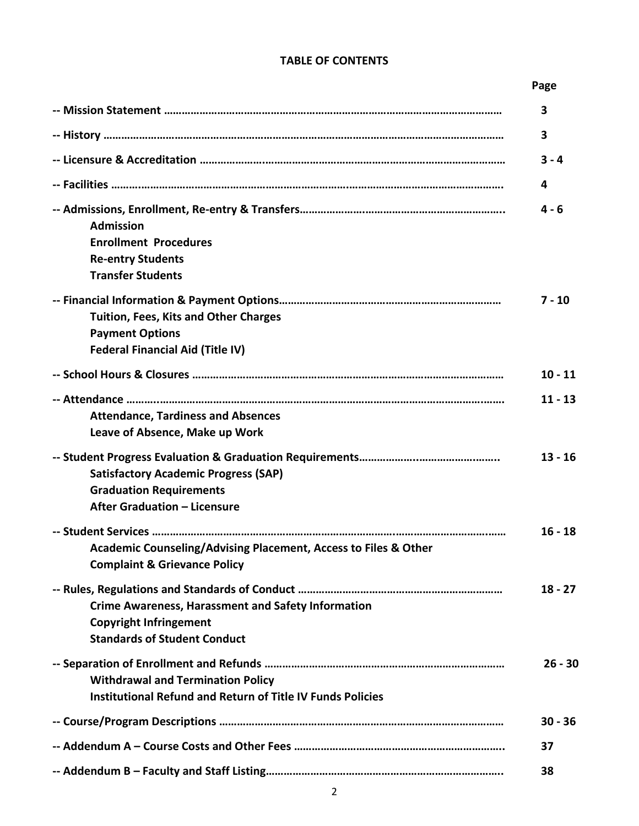#### **TABLE OF CONTENTS**

#### **Page**

|                                                                                                                                   | 3         |
|-----------------------------------------------------------------------------------------------------------------------------------|-----------|
|                                                                                                                                   | 3         |
|                                                                                                                                   | $3 - 4$   |
|                                                                                                                                   | 4         |
| <b>Admission</b><br><b>Enrollment Procedures</b><br><b>Re-entry Students</b><br><b>Transfer Students</b>                          | $4 - 6$   |
| Tuition, Fees, Kits and Other Charges<br><b>Payment Options</b><br><b>Federal Financial Aid (Title IV)</b>                        | $7 - 10$  |
|                                                                                                                                   | $10 - 11$ |
| <b>Attendance, Tardiness and Absences</b><br>Leave of Absence, Make up Work                                                       | $11 - 13$ |
| <b>Satisfactory Academic Progress (SAP)</b><br><b>Graduation Requirements</b><br>After Graduation - Licensure                     | $13 - 16$ |
| Academic Counseling/Advising Placement, Access to Files & Other<br><b>Complaint &amp; Grievance Policy</b>                        | $16 - 18$ |
| <b>Crime Awareness, Harassment and Safety Information</b><br><b>Copyright Infringement</b><br><b>Standards of Student Conduct</b> | $18 - 27$ |
| <b>Withdrawal and Termination Policy</b><br><b>Institutional Refund and Return of Title IV Funds Policies</b>                     | $26 - 30$ |
|                                                                                                                                   | $30 - 36$ |
|                                                                                                                                   | 37        |
|                                                                                                                                   | 38        |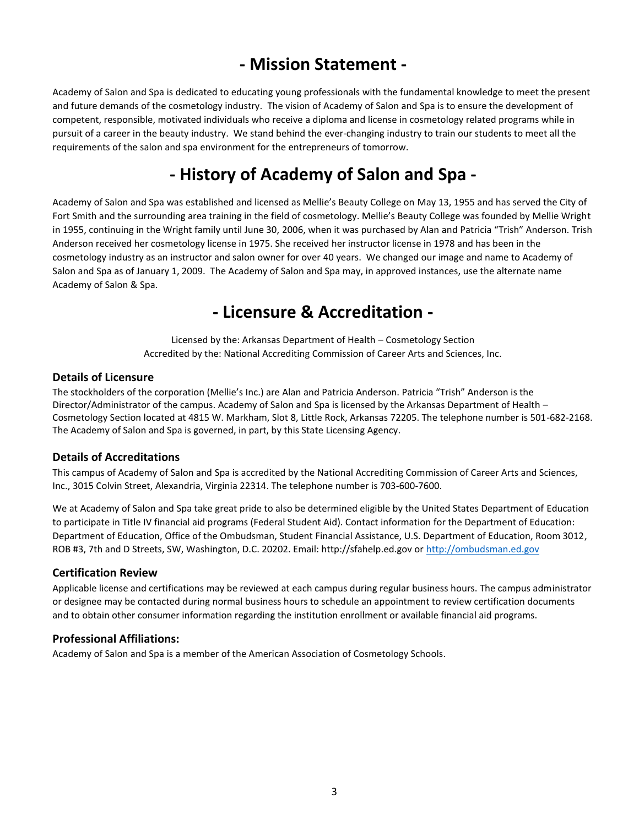# **- Mission Statement -**

Academy of Salon and Spa is dedicated to educating young professionals with the fundamental knowledge to meet the present and future demands of the cosmetology industry. The vision of Academy of Salon and Spa is to ensure the development of competent, responsible, motivated individuals who receive a diploma and license in cosmetology related programs while in pursuit of a career in the beauty industry. We stand behind the ever-changing industry to train our students to meet all the requirements of the salon and spa environment for the entrepreneurs of tomorrow.

# **- History of Academy of Salon and Spa -**

Academy of Salon and Spa was established and licensed as Mellie's Beauty College on May 13, 1955 and has served the City of Fort Smith and the surrounding area training in the field of cosmetology. Mellie's Beauty College was founded by Mellie Wright in 1955, continuing in the Wright family until June 30, 2006, when it was purchased by Alan and Patricia "Trish" Anderson. Trish Anderson received her cosmetology license in 1975. She received her instructor license in 1978 and has been in the cosmetology industry as an instructor and salon owner for over 40 years. We changed our image and name to Academy of Salon and Spa as of January 1, 2009. The Academy of Salon and Spa may, in approved instances, use the alternate name Academy of Salon & Spa.

## **- Licensure & Accreditation -**

Licensed by the: Arkansas Department of Health – Cosmetology Section Accredited by the: National Accrediting Commission of Career Arts and Sciences, Inc.

#### **Details of Licensure**

The stockholders of the corporation (Mellie's Inc.) are Alan and Patricia Anderson. Patricia "Trish" Anderson is the Director/Administrator of the campus. Academy of Salon and Spa is licensed by the Arkansas Department of Health – Cosmetology Section located at 4815 W. Markham, Slot 8, Little Rock, Arkansas 72205. The telephone number is 501-682-2168. The Academy of Salon and Spa is governed, in part, by this State Licensing Agency.

#### **Details of Accreditations**

This campus of Academy of Salon and Spa is accredited by the National Accrediting Commission of Career Arts and Sciences, Inc., 3015 Colvin Street, Alexandria, Virginia 22314. The telephone number is 703-600-7600.

We at Academy of Salon and Spa take great pride to also be determined eligible by the United States Department of Education to participate in Title IV financial aid programs (Federal Student Aid). Contact information for the Department of Education: Department of Education, Office of the Ombudsman, Student Financial Assistance, U.S. Department of Education, Room 3012, ROB #3, 7th and D Streets, SW, Washington, D.C. 20202. Email: http://sfahelp.ed.gov o[r http://ombudsman.ed.gov](http://ombudsman.ed.gov/)

#### **Certification Review**

Applicable license and certifications may be reviewed at each campus during regular business hours. The campus administrator or designee may be contacted during normal business hours to schedule an appointment to review certification documents and to obtain other consumer information regarding the institution enrollment or available financial aid programs.

#### **Professional Affiliations:**

Academy of Salon and Spa is a member of the American Association of Cosmetology Schools.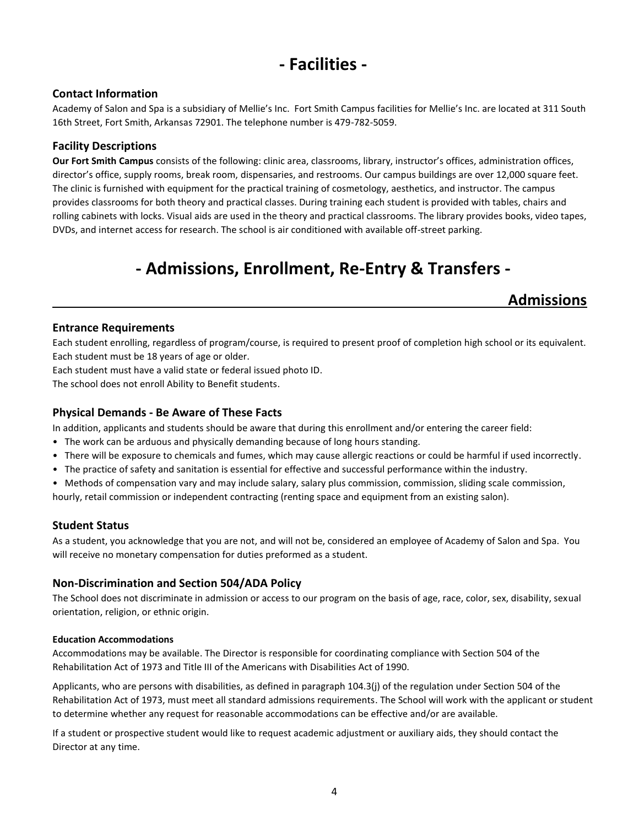# **- Facilities -**

#### **Contact Information**

Academy of Salon and Spa is a subsidiary of Mellie's Inc. Fort Smith Campus facilities for Mellie's Inc. are located at 311 South 16th Street, Fort Smith, Arkansas 72901. The telephone number is 479-782-5059.

#### **Facility Descriptions**

**Our Fort Smith Campus** consists of the following: clinic area, classrooms, library, instructor's offices, administration offices, director's office, supply rooms, break room, dispensaries, and restrooms. Our campus buildings are over 12,000 square feet. The clinic is furnished with equipment for the practical training of cosmetology, aesthetics, and instructor. The campus provides classrooms for both theory and practical classes. During training each student is provided with tables, chairs and rolling cabinets with locks. Visual aids are used in the theory and practical classrooms. The library provides books, video tapes, DVDs, and internet access for research. The school is air conditioned with available off-street parking.

# **- Admissions, Enrollment, Re-Entry & Transfers -**

### **Admissions**

#### **Entrance Requirements**

Each student enrolling, regardless of program/course, is required to present proof of completion high school or its equivalent. Each student must be 18 years of age or older.

Each student must have a valid state or federal issued photo ID.

The school does not enroll Ability to Benefit students.

#### **Physical Demands - Be Aware of These Facts**

In addition, applicants and students should be aware that during this enrollment and/or entering the career field:

- The work can be arduous and physically demanding because of long hours standing.
- There will be exposure to chemicals and fumes, which may cause allergic reactions or could be harmful if used incorrectly.
- The practice of safety and sanitation is essential for effective and successful performance within the industry.
- Methods of compensation vary and may include salary, salary plus commission, commission, sliding scale commission,

hourly, retail commission or independent contracting (renting space and equipment from an existing salon).

#### **Student Status**

As a student, you acknowledge that you are not, and will not be, considered an employee of Academy of Salon and Spa. You will receive no monetary compensation for duties preformed as a student.

#### **Non-Discrimination and Section 504/ADA Policy**

The School does not discriminate in admission or access to our program on the basis of age, race, color, sex, disability, sexual orientation, religion, or ethnic origin.

#### **Education Accommodations**

Accommodations may be available. The Director is responsible for coordinating compliance with Section 504 of the Rehabilitation Act of 1973 and Title III of the Americans with Disabilities Act of 1990.

Applicants, who are persons with disabilities, as defined in paragraph 104.3(j) of the regulation under Section 504 of the Rehabilitation Act of 1973, must meet all standard admissions requirements. The School will work with the applicant or student to determine whether any request for reasonable accommodations can be effective and/or are available.

If a student or prospective student would like to request academic adjustment or auxiliary aids, they should contact the Director at any time.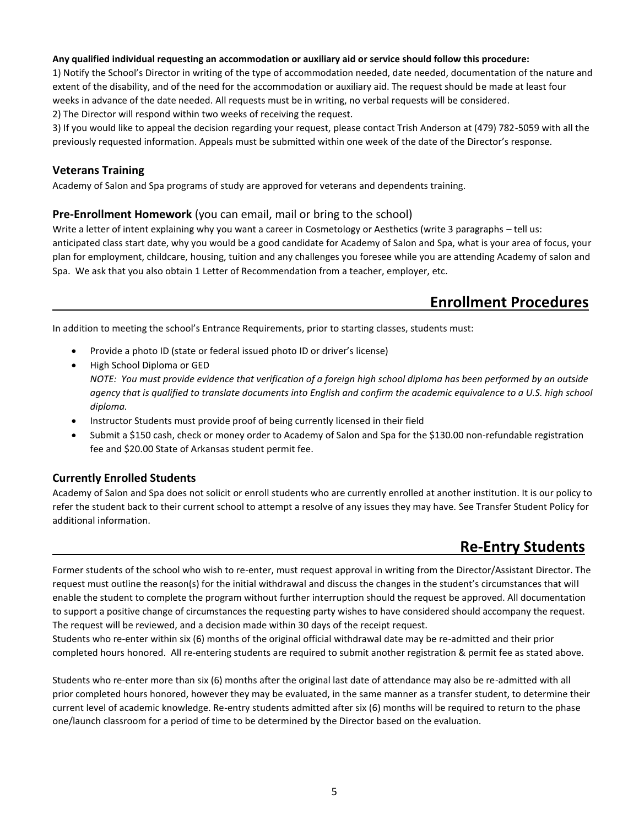#### **Any qualified individual requesting an accommodation or auxiliary aid or service should follow this procedure:**

1) Notify the School's Director in writing of the type of accommodation needed, date needed, documentation of the nature and extent of the disability, and of the need for the accommodation or auxiliary aid. The request should be made at least four weeks in advance of the date needed. All requests must be in writing, no verbal requests will be considered. 2) The Director will respond within two weeks of receiving the request.

3) If you would like to appeal the decision regarding your request, please contact Trish Anderson at (479) 782-5059 with all the previously requested information. Appeals must be submitted within one week of the date of the Director's response.

#### **Veterans Training**

Academy of Salon and Spa programs of study are approved for veterans and dependents training.

#### **Pre-Enrollment Homework** (you can email, mail or bring to the school)

Write a letter of intent explaining why you want a career in Cosmetology or Aesthetics (write 3 paragraphs – tell us: anticipated class start date, why you would be a good candidate for Academy of Salon and Spa, what is your area of focus, your plan for employment, childcare, housing, tuition and any challenges you foresee while you are attending Academy of salon and Spa. We ask that you also obtain 1 Letter of Recommendation from a teacher, employer, etc.

## **Enrollment Procedures**

In addition to meeting the school's Entrance Requirements, prior to starting classes, students must:

- Provide a photo ID (state or federal issued photo ID or driver's license)
- High School Diploma or GED *NOTE: You must provide evidence that verification of a foreign high school diploma has been performed by an outside agency that is qualified to translate documents into English and confirm the academic equivalence to a U.S. high school diploma.*
- Instructor Students must provide proof of being currently licensed in their field
- Submit a \$150 cash, check or money order to Academy of Salon and Spa for the \$130.00 non-refundable registration fee and \$20.00 State of Arkansas student permit fee.

#### **Currently Enrolled Students**

Academy of Salon and Spa does not solicit or enroll students who are currently enrolled at another institution. It is our policy to refer the student back to their current school to attempt a resolve of any issues they may have. See Transfer Student Policy for additional information.

## **Re-Entry Students**

Former students of the school who wish to re-enter, must request approval in writing from the Director/Assistant Director. The request must outline the reason(s) for the initial withdrawal and discuss the changes in the student's circumstances that will enable the student to complete the program without further interruption should the request be approved. All documentation to support a positive change of circumstances the requesting party wishes to have considered should accompany the request. The request will be reviewed, and a decision made within 30 days of the receipt request.

Students who re-enter within six (6) months of the original official withdrawal date may be re-admitted and their prior completed hours honored. All re-entering students are required to submit another registration & permit fee as stated above.

Students who re-enter more than six (6) months after the original last date of attendance may also be re-admitted with all prior completed hours honored, however they may be evaluated, in the same manner as a transfer student, to determine their current level of academic knowledge. Re-entry students admitted after six (6) months will be required to return to the phase one/launch classroom for a period of time to be determined by the Director based on the evaluation.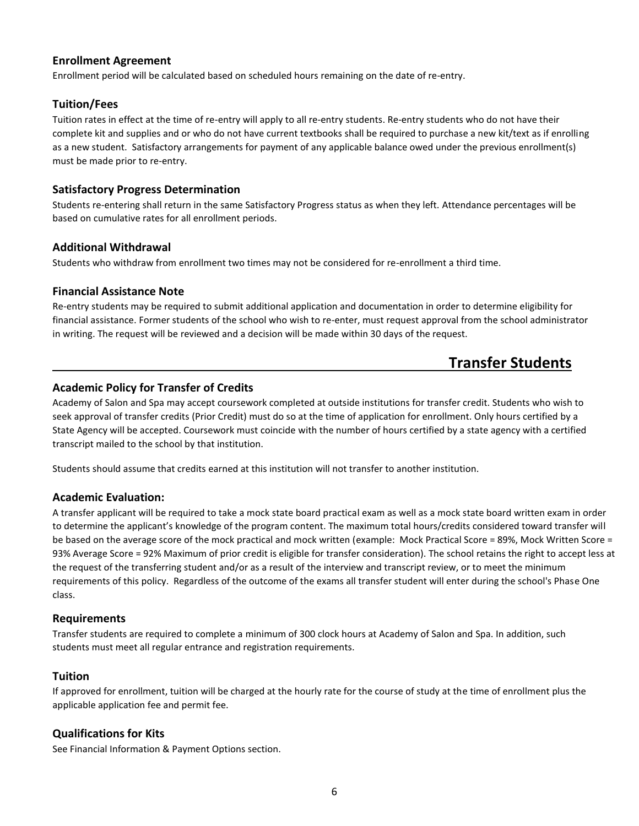#### **Enrollment Agreement**

Enrollment period will be calculated based on scheduled hours remaining on the date of re-entry.

#### **Tuition/Fees**

Tuition rates in effect at the time of re-entry will apply to all re-entry students. Re-entry students who do not have their complete kit and supplies and or who do not have current textbooks shall be required to purchase a new kit/text as if enrolling as a new student. Satisfactory arrangements for payment of any applicable balance owed under the previous enrollment(s) must be made prior to re-entry.

#### **Satisfactory Progress Determination**

Students re-entering shall return in the same Satisfactory Progress status as when they left. Attendance percentages will be based on cumulative rates for all enrollment periods.

#### **Additional Withdrawal**

Students who withdraw from enrollment two times may not be considered for re-enrollment a third time.

#### **Financial Assistance Note**

Re-entry students may be required to submit additional application and documentation in order to determine eligibility for financial assistance. Former students of the school who wish to re-enter, must request approval from the school administrator in writing. The request will be reviewed and a decision will be made within 30 days of the request.

## **Transfer Students**

#### **Academic Policy for Transfer of Credits**

Academy of Salon and Spa may accept coursework completed at outside institutions for transfer credit. Students who wish to seek approval of transfer credits (Prior Credit) must do so at the time of application for enrollment. Only hours certified by a State Agency will be accepted. Coursework must coincide with the number of hours certified by a state agency with a certified transcript mailed to the school by that institution.

Students should assume that credits earned at this institution will not transfer to another institution.

#### **Academic Evaluation:**

A transfer applicant will be required to take a mock state board practical exam as well as a mock state board written exam in order to determine the applicant's knowledge of the program content. The maximum total hours/credits considered toward transfer will be based on the average score of the mock practical and mock written (example: Mock Practical Score = 89%, Mock Written Score = 93% Average Score = 92% Maximum of prior credit is eligible for transfer consideration). The school retains the right to accept less at the request of the transferring student and/or as a result of the interview and transcript review, or to meet the minimum requirements of this policy. Regardless of the outcome of the exams all transfer student will enter during the school's Phase One class.

#### **Requirements**

Transfer students are required to complete a minimum of 300 clock hours at Academy of Salon and Spa. In addition, such students must meet all regular entrance and registration requirements.

#### **Tuition**

If approved for enrollment, tuition will be charged at the hourly rate for the course of study at the time of enrollment plus the applicable application fee and permit fee.

#### **Qualifications for Kits**

See Financial Information & Payment Options section.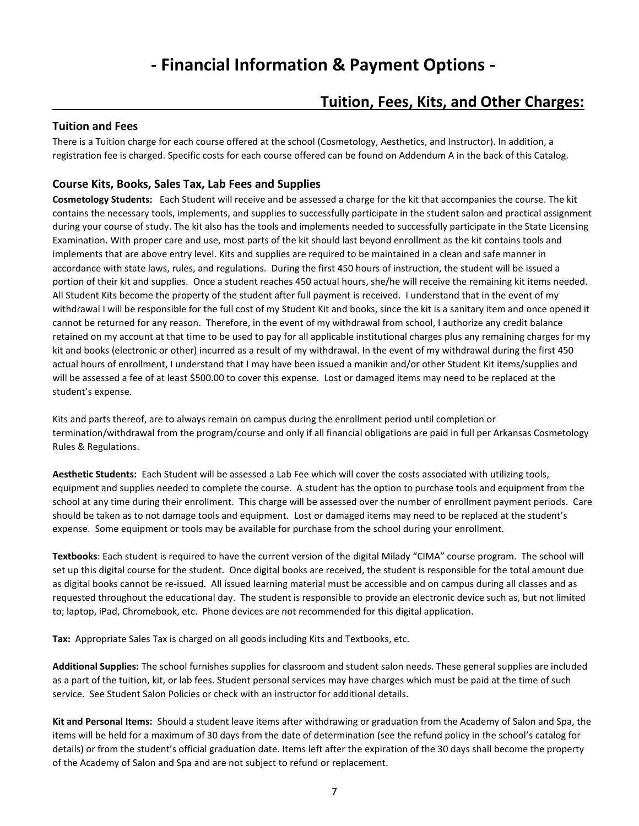# **- Financial Information & Payment Options -**

## **Tuition, Fees, Kits, and Other Charges:**

#### **Tuition and Fees**

There is a Tuition charge for each course offered at the school (Cosmetology, Aesthetics, and Instructor). In addition, a registration fee is charged. Specific costs for each course offered can be found on Addendum A in the back of this Catalog.

#### **Course Kits, Books, Sales Tax, Lab Fees and Supplies**

**Cosmetology Students:** Each Student will receive and be assessed a charge for the kit that accompanies the course. The kit contains the necessary tools, implements, and supplies to successfully participate in the student salon and practical assignment during your course of study. The kit also has the tools and implements needed to successfully participate in the State Licensing Examination. With proper care and use, most parts of the kit should last beyond enrollment as the kit contains tools and implements that are above entry level. Kits and supplies are required to be maintained in a clean and safe manner in accordance with state laws, rules, and regulations. During the first 450 hours of instruction, the student will be issued a portion of their kit and supplies. Once a student reaches 450 actual hours, she/he will receive the remaining kit items needed. All Student Kits become the property of the student after full payment is received. I understand that in the event of my withdrawal I will be responsible for the full cost of my Student Kit and books, since the kit is a sanitary item and once opened it cannot be returned for any reason. Therefore, in the event of my withdrawal from school, I authorize any credit balance retained on my account at that time to be used to pay for all applicable institutional charges plus any remaining charges for my kit and books (electronic or other) incurred as a result of my withdrawal. In the event of my withdrawal during the first 450 actual hours of enrollment, I understand that I may have been issued a manikin and/or other Student Kit items/supplies and will be assessed a fee of at least \$500.00 to cover this expense. Lost or damaged items may need to be replaced at the student's expense.

Kits and parts thereof, are to always remain on campus during the enrollment period until completion or termination/withdrawal from the program/course and only if all financial obligations are paid in full per Arkansas Cosmetology Rules & Regulations.

**Aesthetic Students:** Each Student will be assessed a Lab Fee which will cover the costs associated with utilizing tools, equipment and supplies needed to complete the course. A student has the option to purchase tools and equipment from the school at any time during their enrollment. This charge will be assessed over the number of enrollment payment periods. Care should be taken as to not damage tools and equipment. Lost or damaged items may need to be replaced at the student's expense. Some equipment or tools may be available for purchase from the school during your enrollment.

**Textbooks**: Each student is required to have the current version of the digital Milady "CIMA" course program. The school will set up this digital course for the student. Once digital books are received, the student is responsible for the total amount due as digital books cannot be re-issued. All issued learning material must be accessible and on campus during all classes and as requested throughout the educational day. The student is responsible to provide an electronic device such as, but not limited to; laptop, iPad, Chromebook, etc. Phone devices are not recommended for this digital application.

**Tax:** Appropriate Sales Tax is charged on all goods including Kits and Textbooks, etc.

**Additional Supplies:** The school furnishes supplies for classroom and student salon needs. These general supplies are included as a part of the tuition, kit, or lab fees. Student personal services may have charges which must be paid at the time of such service. See Student Salon Policies or check with an instructor for additional details.

**Kit and Personal Items:** Should a student leave items after withdrawing or graduation from the Academy of Salon and Spa, the items will be held for a maximum of 30 days from the date of determination (see the refund policy in the school's catalog for details) or from the student's official graduation date. Items left after the expiration of the 30 days shall become the property of the Academy of Salon and Spa and are not subject to refund or replacement.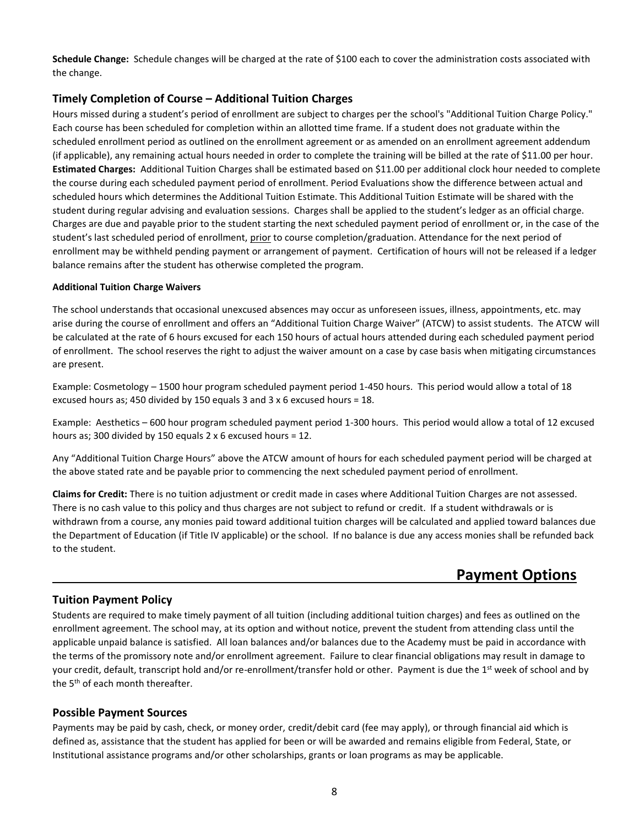**Schedule Change:** Schedule changes will be charged at the rate of \$100 each to cover the administration costs associated with the change.

#### **Timely Completion of Course – Additional Tuition Charges**

Hours missed during a student's period of enrollment are subject to charges per the school's "Additional Tuition Charge Policy." Each course has been scheduled for completion within an allotted time frame. If a student does not graduate within the scheduled enrollment period as outlined on the enrollment agreement or as amended on an enrollment agreement addendum (if applicable), any remaining actual hours needed in order to complete the training will be billed at the rate of \$11.00 per hour. **Estimated Charges:** Additional Tuition Charges shall be estimated based on \$11.00 per additional clock hour needed to complete the course during each scheduled payment period of enrollment. Period Evaluations show the difference between actual and scheduled hours which determines the Additional Tuition Estimate. This Additional Tuition Estimate will be shared with the student during regular advising and evaluation sessions. Charges shall be applied to the student's ledger as an official charge. Charges are due and payable prior to the student starting the next scheduled payment period of enrollment or, in the case of the student's last scheduled period of enrollment, prior to course completion/graduation. Attendance for the next period of enrollment may be withheld pending payment or arrangement of payment. Certification of hours will not be released if a ledger balance remains after the student has otherwise completed the program.

#### **Additional Tuition Charge Waivers**

The school understands that occasional unexcused absences may occur as unforeseen issues, illness, appointments, etc. may arise during the course of enrollment and offers an "Additional Tuition Charge Waiver" (ATCW) to assist students. The ATCW will be calculated at the rate of 6 hours excused for each 150 hours of actual hours attended during each scheduled payment period of enrollment. The school reserves the right to adjust the waiver amount on a case by case basis when mitigating circumstances are present.

Example: Cosmetology – 1500 hour program scheduled payment period 1-450 hours. This period would allow a total of 18 excused hours as; 450 divided by 150 equals 3 and 3 x 6 excused hours = 18.

Example: Aesthetics – 600 hour program scheduled payment period 1-300 hours. This period would allow a total of 12 excused hours as; 300 divided by 150 equals 2 x 6 excused hours = 12.

Any "Additional Tuition Charge Hours" above the ATCW amount of hours for each scheduled payment period will be charged at the above stated rate and be payable prior to commencing the next scheduled payment period of enrollment.

**Claims for Credit:** There is no tuition adjustment or credit made in cases where Additional Tuition Charges are not assessed. There is no cash value to this policy and thus charges are not subject to refund or credit. If a student withdrawals or is withdrawn from a course, any monies paid toward additional tuition charges will be calculated and applied toward balances due the Department of Education (if Title IV applicable) or the school. If no balance is due any access monies shall be refunded back to the student.

## **Payment Options**

#### **Tuition Payment Policy**

Students are required to make timely payment of all tuition (including additional tuition charges) and fees as outlined on the enrollment agreement. The school may, at its option and without notice, prevent the student from attending class until the applicable unpaid balance is satisfied. All loan balances and/or balances due to the Academy must be paid in accordance with the terms of the promissory note and/or enrollment agreement. Failure to clear financial obligations may result in damage to your credit, default, transcript hold and/or re-enrollment/transfer hold or other. Payment is due the 1<sup>st</sup> week of school and by the 5<sup>th</sup> of each month thereafter.

#### **Possible Payment Sources**

Payments may be paid by cash, check, or money order, credit/debit card (fee may apply), or through financial aid which is defined as, assistance that the student has applied for been or will be awarded and remains eligible from Federal, State, or Institutional assistance programs and/or other scholarships, grants or loan programs as may be applicable.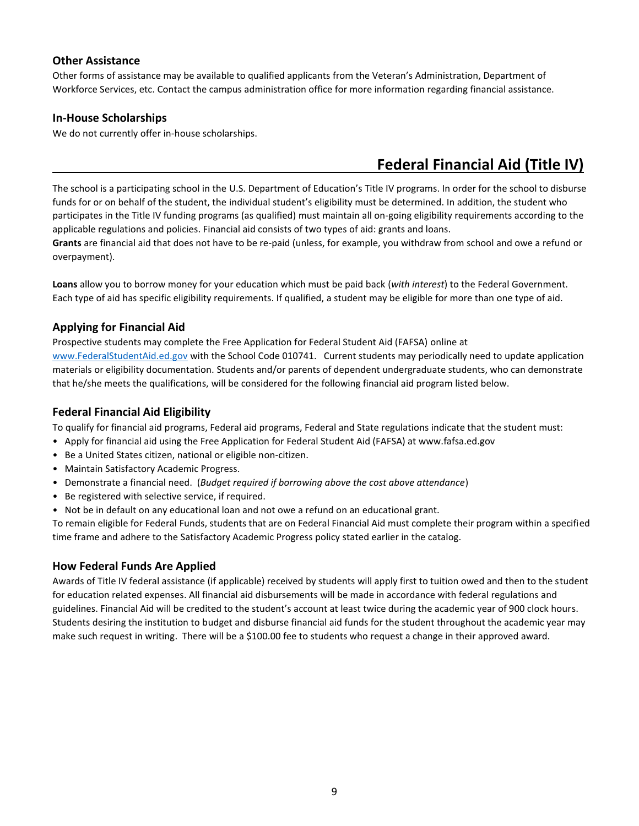#### **Other Assistance**

Other forms of assistance may be available to qualified applicants from the Veteran's Administration, Department of Workforce Services, etc. Contact the campus administration office for more information regarding financial assistance.

#### **In-House Scholarships**

We do not currently offer in-house scholarships.

# **Federal Financial Aid (Title IV)**

The school is a participating school in the U.S. Department of Education's Title IV programs. In order for the school to disburse funds for or on behalf of the student, the individual student's eligibility must be determined. In addition, the student who participates in the Title IV funding programs (as qualified) must maintain all on-going eligibility requirements according to the applicable regulations and policies. Financial aid consists of two types of aid: grants and loans.

**Grants** are financial aid that does not have to be re-paid (unless, for example, you withdraw from school and owe a refund or overpayment).

**Loans** allow you to borrow money for your education which must be paid back (*with interest*) to the Federal Government. Each type of aid has specific eligibility requirements. If qualified, a student may be eligible for more than one type of aid.

#### **Applying for Financial Aid**

Prospective students may complete the Free Application for Federal Student Aid (FAFSA) online at [www.FederalStudentAid.ed.gov](http://www.federalstudentaid.ed.gov/) with the School Code 010741. Current students may periodically need to update application materials or eligibility documentation. Students and/or parents of dependent undergraduate students, who can demonstrate that he/she meets the qualifications, will be considered for the following financial aid program listed below.

#### **Federal Financial Aid Eligibility**

To qualify for financial aid programs, Federal aid programs, Federal and State regulations indicate that the student must:

- Apply for financial aid using the Free Application for Federal Student Aid (FAFSA) at www.fafsa.ed.gov
- Be a United States citizen, national or eligible non-citizen.
- Maintain Satisfactory Academic Progress.
- Demonstrate a financial need. (*Budget required if borrowing above the cost above attendance*)
- Be registered with selective service, if required.
- Not be in default on any educational loan and not owe a refund on an educational grant.

To remain eligible for Federal Funds, students that are on Federal Financial Aid must complete their program within a specified time frame and adhere to the Satisfactory Academic Progress policy stated earlier in the catalog.

#### **How Federal Funds Are Applied**

Awards of Title IV federal assistance (if applicable) received by students will apply first to tuition owed and then to the student for education related expenses. All financial aid disbursements will be made in accordance with federal regulations and guidelines. Financial Aid will be credited to the student's account at least twice during the academic year of 900 clock hours. Students desiring the institution to budget and disburse financial aid funds for the student throughout the academic year may make such request in writing. There will be a \$100.00 fee to students who request a change in their approved award.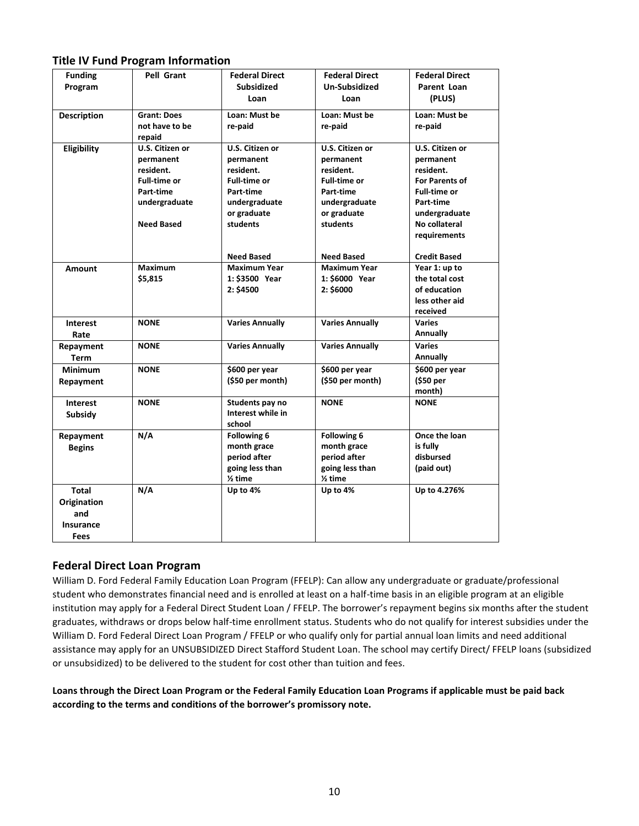#### **Title IV Fund Program Information**

| <b>Funding</b>     | Pell Grant          | <b>Federal Direct</b>  | <b>Federal Direct</b>  | <b>Federal Direct</b> |
|--------------------|---------------------|------------------------|------------------------|-----------------------|
| Program            |                     | <b>Subsidized</b>      | Un-Subsidized          | Parent Loan           |
|                    |                     | Loan                   | Loan                   | (PLUS)                |
| <b>Description</b> | <b>Grant: Does</b>  | Loan: Must be          | Loan: Must be          | Loan: Must be         |
|                    | not have to be      | re-paid                | re-paid                | re-paid               |
|                    | repaid              |                        |                        |                       |
| Eligibility        | U.S. Citizen or     | U.S. Citizen or        | U.S. Citizen or        | U.S. Citizen or       |
|                    | permanent           | permanent              | permanent              | permanent             |
|                    | resident.           | resident.              | resident.              | resident.             |
|                    | <b>Full-time or</b> | <b>Full-time or</b>    | <b>Full-time or</b>    | <b>For Parents of</b> |
|                    | Part-time           | Part-time              | Part-time              | <b>Full-time or</b>   |
|                    | undergraduate       | undergraduate          | undergraduate          | Part-time             |
|                    |                     | or graduate            | or graduate            | undergraduate         |
|                    | <b>Need Based</b>   | students               | students               | No collateral         |
|                    |                     |                        |                        | requirements          |
|                    |                     | <b>Need Based</b>      | <b>Need Based</b>      | <b>Credit Based</b>   |
| Amount             | <b>Maximum</b>      | <b>Maximum Year</b>    | <b>Maximum Year</b>    | Year 1: up to         |
|                    | \$5,815             | 1: \$3500 Year         | 1: \$6000 Year         | the total cost        |
|                    |                     | 2: \$4500              | 2: \$6000              | of education          |
|                    |                     |                        |                        | less other aid        |
|                    |                     |                        |                        | received              |
| <b>Interest</b>    | <b>NONE</b>         | <b>Varies Annually</b> | <b>Varies Annually</b> | <b>Varies</b>         |
| Rate               |                     |                        |                        | Annually              |
| Repayment          | <b>NONE</b>         | <b>Varies Annually</b> | <b>Varies Annually</b> | <b>Varies</b>         |
| <b>Term</b>        |                     |                        |                        | Annually              |
| <b>Minimum</b>     | <b>NONE</b>         | \$600 per year         | \$600 per year         | \$600 per year        |
| Repayment          |                     | (\$50 per month)       | (\$50 per month)       | (\$50 per             |
|                    |                     |                        |                        | month)                |
| <b>Interest</b>    | <b>NONE</b>         | Students pay no        | <b>NONE</b>            | <b>NONE</b>           |
| <b>Subsidy</b>     |                     | Interest while in      |                        |                       |
|                    |                     | school                 |                        |                       |
| Repayment          | N/A                 | Following 6            | Following 6            | Once the loan         |
| <b>Begins</b>      |                     | month grace            | month grace            | is fully              |
|                    |                     | period after           | period after           | disbursed             |
|                    |                     | going less than        | going less than        | (paid out)            |
|                    |                     | $2$ time               | $2$ time               |                       |
| <b>Total</b>       | N/A                 | Up to 4%               | Up to 4%               | Up to 4.276%          |
| Origination        |                     |                        |                        |                       |
| and                |                     |                        |                        |                       |
| <b>Insurance</b>   |                     |                        |                        |                       |
| Fees               |                     |                        |                        |                       |

#### **Federal Direct Loan Program**

William D. Ford Federal Family Education Loan Program (FFELP): Can allow any undergraduate or graduate/professional student who demonstrates financial need and is enrolled at least on a half-time basis in an eligible program at an eligible institution may apply for a Federal Direct Student Loan / FFELP. The borrower's repayment begins six months after the student graduates, withdraws or drops below half-time enrollment status. Students who do not qualify for interest subsidies under the William D. Ford Federal Direct Loan Program / FFELP or who qualify only for partial annual loan limits and need additional assistance may apply for an UNSUBSIDIZED Direct Stafford Student Loan. The school may certify Direct/ FFELP loans (subsidized or unsubsidized) to be delivered to the student for cost other than tuition and fees.

**Loans through the Direct Loan Program or the Federal Family Education Loan Programs if applicable must be paid back according to the terms and conditions of the borrower's promissory note.**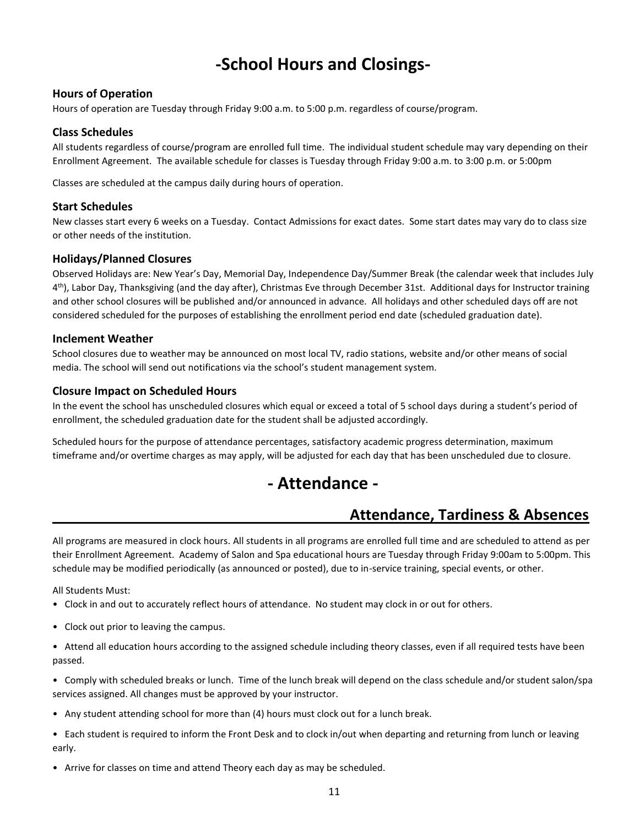# **-School Hours and Closings-**

#### **Hours of Operation**

Hours of operation are Tuesday through Friday 9:00 a.m. to 5:00 p.m. regardless of course/program.

#### **Class Schedules**

All students regardless of course/program are enrolled full time. The individual student schedule may vary depending on their Enrollment Agreement. The available schedule for classes is Tuesday through Friday 9:00 a.m. to 3:00 p.m. or 5:00pm

Classes are scheduled at the campus daily during hours of operation.

#### **Start Schedules**

New classes start every 6 weeks on a Tuesday. Contact Admissions for exact dates. Some start dates may vary do to class size or other needs of the institution.

#### **Holidays/Planned Closures**

Observed Holidays are: New Year's Day, Memorial Day, Independence Day/Summer Break (the calendar week that includes July 4<sup>th</sup>), Labor Day, Thanksgiving (and the day after), Christmas Eve through December 31st. Additional days for Instructor training and other school closures will be published and/or announced in advance. All holidays and other scheduled days off are not considered scheduled for the purposes of establishing the enrollment period end date (scheduled graduation date).

#### **Inclement Weather**

School closures due to weather may be announced on most local TV, radio stations, website and/or other means of social media. The school will send out notifications via the school's student management system.

#### **Closure Impact on Scheduled Hours**

In the event the school has unscheduled closures which equal or exceed a total of 5 school days during a student's period of enrollment, the scheduled graduation date for the student shall be adjusted accordingly.

Scheduled hours for the purpose of attendance percentages, satisfactory academic progress determination, maximum timeframe and/or overtime charges as may apply, will be adjusted for each day that has been unscheduled due to closure.

## **- Attendance -**

## **Attendance, Tardiness & Absences**

All programs are measured in clock hours. All students in all programs are enrolled full time and are scheduled to attend as per their Enrollment Agreement. Academy of Salon and Spa educational hours are Tuesday through Friday 9:00am to 5:00pm. This schedule may be modified periodically (as announced or posted), due to in-service training, special events, or other.

All Students Must:

- Clock in and out to accurately reflect hours of attendance. No student may clock in or out for others.
- Clock out prior to leaving the campus.

• Attend all education hours according to the assigned schedule including theory classes, even if all required tests have been passed.

• Comply with scheduled breaks or lunch. Time of the lunch break will depend on the class schedule and/or student salon/spa services assigned. All changes must be approved by your instructor.

- Any student attending school for more than (4) hours must clock out for a lunch break.
- Each student is required to inform the Front Desk and to clock in/out when departing and returning from lunch or leaving early.
- Arrive for classes on time and attend Theory each day as may be scheduled.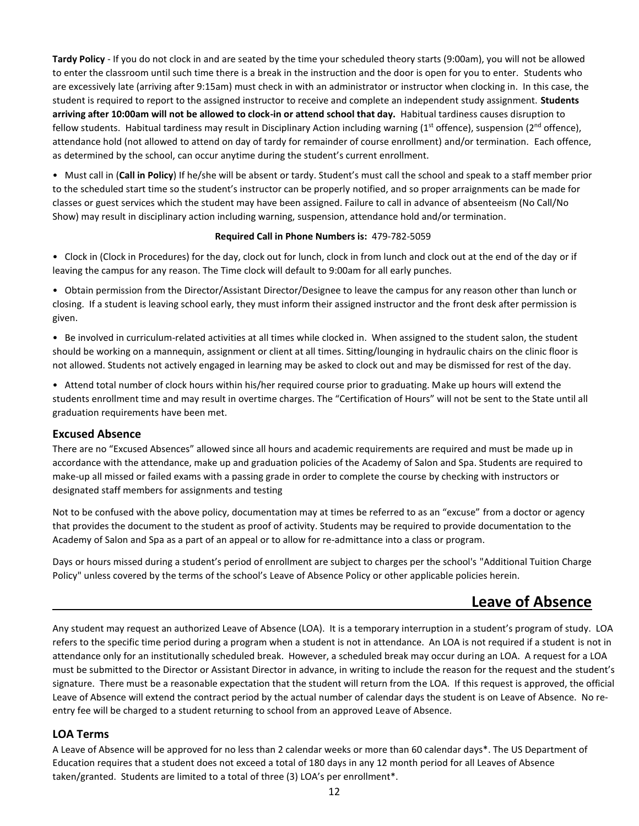**Tardy Policy** - If you do not clock in and are seated by the time your scheduled theory starts (9:00am), you will not be allowed to enter the classroom until such time there is a break in the instruction and the door is open for you to enter. Students who are excessively late (arriving after 9:15am) must check in with an administrator or instructor when clocking in. In this case, the student is required to report to the assigned instructor to receive and complete an independent study assignment. **Students arriving after 10:00am will not be allowed to clock-in or attend school that day.** Habitual tardiness causes disruption to fellow students. Habitual tardiness may result in Disciplinary Action including warning ( $1<sup>st</sup>$  offence), suspension ( $2<sup>nd</sup>$  offence), attendance hold (not allowed to attend on day of tardy for remainder of course enrollment) and/or termination.Each offence, as determined by the school, can occur anytime during the student's current enrollment.

• Must call in (**Call in Policy**) If he/she will be absent or tardy. Student's must call the school and speak to a staff member prior to the scheduled start time so the student's instructor can be properly notified, and so proper arraignments can be made for classes or guest services which the student may have been assigned. Failure to call in advance of absenteeism (No Call/No Show) may result in disciplinary action including warning, suspension, attendance hold and/or termination.

#### **Required Call in Phone Numbers is:** 479-782-5059

• Clock in (Clock in Procedures) for the day, clock out for lunch, clock in from lunch and clock out at the end of the day or if leaving the campus for any reason. The Time clock will default to 9:00am for all early punches.

• Obtain permission from the Director/Assistant Director/Designee to leave the campus for any reason other than lunch or closing. If a student is leaving school early, they must inform their assigned instructor and the front desk after permission is given.

• Be involved in curriculum-related activities at all times while clocked in. When assigned to the student salon, the student should be working on a mannequin, assignment or client at all times. Sitting/lounging in hydraulic chairs on the clinic floor is not allowed. Students not actively engaged in learning may be asked to clock out and may be dismissed for rest of the day.

• Attend total number of clock hours within his/her required course prior to graduating. Make up hours will extend the students enrollment time and may result in overtime charges. The "Certification of Hours" will not be sent to the State until all graduation requirements have been met.

#### **Excused Absence**

There are no "Excused Absences" allowed since all hours and academic requirements are required and must be made up in accordance with the attendance, make up and graduation policies of the Academy of Salon and Spa. Students are required to make-up all missed or failed exams with a passing grade in order to complete the course by checking with instructors or designated staff members for assignments and testing

Not to be confused with the above policy, documentation may at times be referred to as an "excuse" from a doctor or agency that provides the document to the student as proof of activity. Students may be required to provide documentation to the Academy of Salon and Spa as a part of an appeal or to allow for re-admittance into a class or program.

Days or hours missed during a student's period of enrollment are subject to charges per the school's "Additional Tuition Charge Policy" unless covered by the terms of the school's Leave of Absence Policy or other applicable policies herein.

## **Leave of Absence**

Any student may request an authorized Leave of Absence (LOA). It is a temporary interruption in a student's program of study. LOA refers to the specific time period during a program when a student is not in attendance. An LOA is not required if a student is not in attendance only for an institutionally scheduled break. However, a scheduled break may occur during an LOA. A request for a LOA must be submitted to the Director or Assistant Director in advance, in writing to include the reason for the request and the student's signature. There must be a reasonable expectation that the student will return from the LOA. If this request is approved, the official Leave of Absence will extend the contract period by the actual number of calendar days the student is on Leave of Absence. No reentry fee will be charged to a student returning to school from an approved Leave of Absence.

#### **LOA Terms**

A Leave of Absence will be approved for no less than 2 calendar weeks or more than 60 calendar days\*. The US Department of Education requires that a student does not exceed a total of 180 days in any 12 month period for all Leaves of Absence taken/granted. Students are limited to a total of three (3) LOA's per enrollment\*.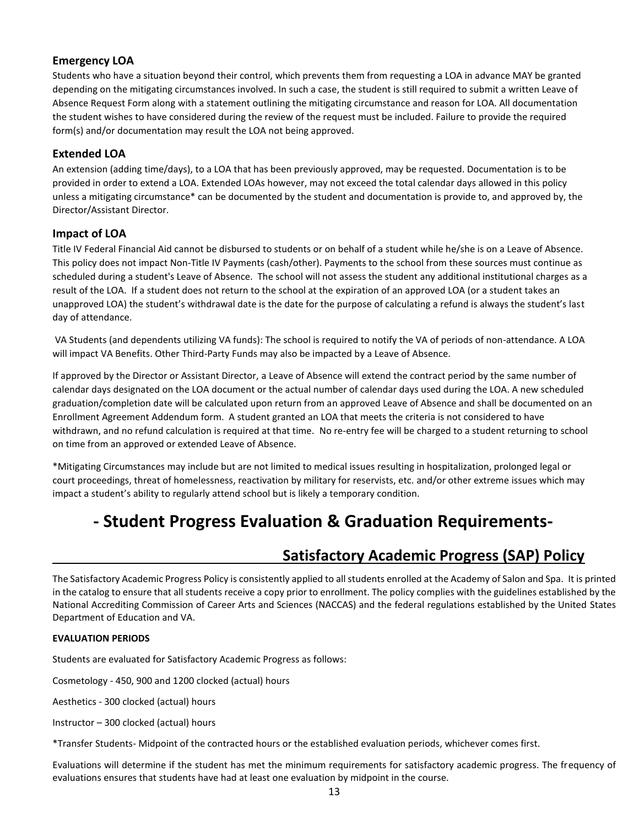#### **Emergency LOA**

Students who have a situation beyond their control, which prevents them from requesting a LOA in advance MAY be granted depending on the mitigating circumstances involved. In such a case, the student is still required to submit a written Leave of Absence Request Form along with a statement outlining the mitigating circumstance and reason for LOA. All documentation the student wishes to have considered during the review of the request must be included. Failure to provide the required form(s) and/or documentation may result the LOA not being approved.

#### **Extended LOA**

An extension (adding time/days), to a LOA that has been previously approved, may be requested. Documentation is to be provided in order to extend a LOA. Extended LOAs however, may not exceed the total calendar days allowed in this policy unless a mitigating circumstance\* can be documented by the student and documentation is provide to, and approved by, the Director/Assistant Director.

#### **Impact of LOA**

Title IV Federal Financial Aid cannot be disbursed to students or on behalf of a student while he/she is on a Leave of Absence. This policy does not impact Non-Title IV Payments (cash/other). Payments to the school from these sources must continue as scheduled during a student's Leave of Absence. The school will not assess the student any additional institutional charges as a result of the LOA. If a student does not return to the school at the expiration of an approved LOA (or a student takes an unapproved LOA) the student's withdrawal date is the date for the purpose of calculating a refund is always the student's last day of attendance.

VA Students (and dependents utilizing VA funds): The school is required to notify the VA of periods of non-attendance. A LOA will impact VA Benefits. Other Third-Party Funds may also be impacted by a Leave of Absence.

If approved by the Director or Assistant Director, a Leave of Absence will extend the contract period by the same number of calendar days designated on the LOA document or the actual number of calendar days used during the LOA. A new scheduled graduation/completion date will be calculated upon return from an approved Leave of Absence and shall be documented on an Enrollment Agreement Addendum form. A student granted an LOA that meets the criteria is not considered to have withdrawn, and no refund calculation is required at that time. No re-entry fee will be charged to a student returning to school on time from an approved or extended Leave of Absence.

\*Mitigating Circumstances may include but are not limited to medical issues resulting in hospitalization, prolonged legal or court proceedings, threat of homelessness, reactivation by military for reservists, etc. and/or other extreme issues which may impact a student's ability to regularly attend school but is likely a temporary condition.

# **- Student Progress Evaluation & Graduation Requirements-**

## **Satisfactory Academic Progress (SAP) Policy**

The Satisfactory Academic Progress Policy is consistently applied to all students enrolled at the Academy of Salon and Spa. It is printed in the catalog to ensure that all students receive a copy prior to enrollment. The policy complies with the guidelines established by the National Accrediting Commission of Career Arts and Sciences (NACCAS) and the federal regulations established by the United States Department of Education and VA.

#### **EVALUATION PERIODS**

Students are evaluated for Satisfactory Academic Progress as follows:

Cosmetology - 450, 900 and 1200 clocked (actual) hours

Aesthetics - 300 clocked (actual) hours

Instructor – 300 clocked (actual) hours

\*Transfer Students- Midpoint of the contracted hours or the established evaluation periods, whichever comes first.

Evaluations will determine if the student has met the minimum requirements for satisfactory academic progress. The frequency of evaluations ensures that students have had at least one evaluation by midpoint in the course.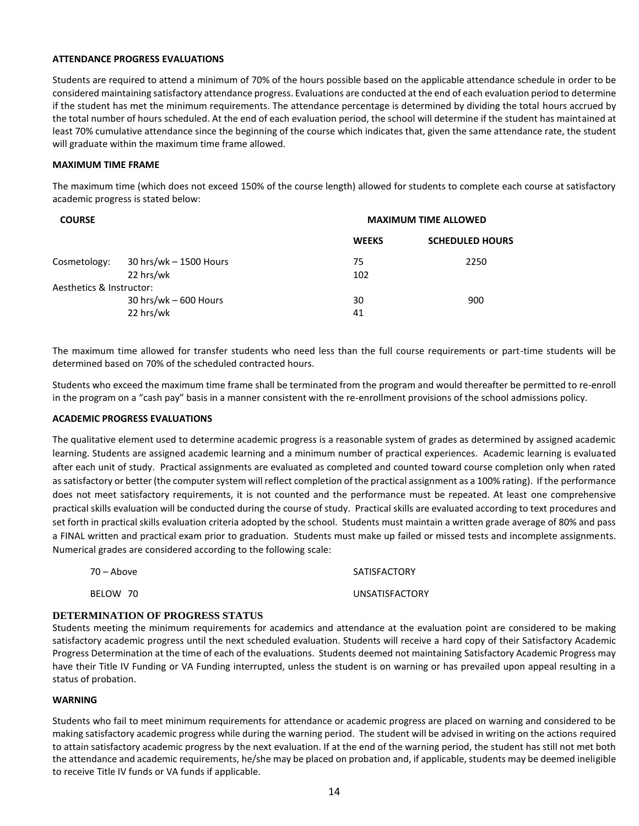#### **ATTENDANCE PROGRESS EVALUATIONS**

Students are required to attend a minimum of 70% of the hours possible based on the applicable attendance schedule in order to be considered maintaining satisfactory attendance progress. Evaluations are conducted at the end of each evaluation period to determine if the student has met the minimum requirements. The attendance percentage is determined by dividing the total hours accrued by the total number of hours scheduled. At the end of each evaluation period, the school will determine if the student has maintained at least 70% cumulative attendance since the beginning of the course which indicates that, given the same attendance rate, the student will graduate within the maximum time frame allowed.

#### **MAXIMUM TIME FRAME**

The maximum time (which does not exceed 150% of the course length) allowed for students to complete each course at satisfactory academic progress is stated below:

| <b>COURSE</b>            |                                       | <b>MAXIMUM TIME ALLOWED</b> |                        |
|--------------------------|---------------------------------------|-----------------------------|------------------------|
|                          |                                       | <b>WEEKS</b>                | <b>SCHEDULED HOURS</b> |
| Cosmetology:             | $30$ hrs/wk - 1500 Hours<br>22 hrs/wk | 75<br>102                   | 2250                   |
| Aesthetics & Instructor: |                                       |                             |                        |
|                          | 30 hrs/wk $-600$ Hours                | 30                          | 900                    |
|                          | 22 hrs/wk                             | 41                          |                        |

The maximum time allowed for transfer students who need less than the full course requirements or part-time students will be determined based on 70% of the scheduled contracted hours.

Students who exceed the maximum time frame shall be terminated from the program and would thereafter be permitted to re-enroll in the program on a "cash pay" basis in a manner consistent with the re-enrollment provisions of the school admissions policy.

#### **ACADEMIC PROGRESS EVALUATIONS**

The qualitative element used to determine academic progress is a reasonable system of grades as determined by assigned academic learning. Students are assigned academic learning and a minimum number of practical experiences. Academic learning is evaluated after each unit of study. Practical assignments are evaluated as completed and counted toward course completion only when rated as satisfactory or better (the computer system will reflect completion of the practical assignment as a 100% rating). If the performance does not meet satisfactory requirements, it is not counted and the performance must be repeated. At least one comprehensive practical skills evaluation will be conducted during the course of study. Practical skills are evaluated according to text procedures and set forth in practical skills evaluation criteria adopted by the school. Students must maintain a written grade average of 80% and pass a FINAL written and practical exam prior to graduation. Students must make up failed or missed tests and incomplete assignments. Numerical grades are considered according to the following scale:

| 70 – Above | SATISFACTORY          |
|------------|-----------------------|
| BELOW 70   | <b>UNSATISFACTORY</b> |

#### **DETERMINATION OF PROGRESS STATUS**

Students meeting the minimum requirements for academics and attendance at the evaluation point are considered to be making satisfactory academic progress until the next scheduled evaluation. Students will receive a hard copy of their Satisfactory Academic Progress Determination at the time of each of the evaluations. Students deemed not maintaining Satisfactory Academic Progress may have their Title IV Funding or VA Funding interrupted, unless the student is on warning or has prevailed upon appeal resulting in a status of probation.

#### **WARNING**

Students who fail to meet minimum requirements for attendance or academic progress are placed on warning and considered to be making satisfactory academic progress while during the warning period. The student will be advised in writing on the actions required to attain satisfactory academic progress by the next evaluation. If at the end of the warning period, the student has still not met both the attendance and academic requirements, he/she may be placed on probation and, if applicable, students may be deemed ineligible to receive Title IV funds or VA funds if applicable.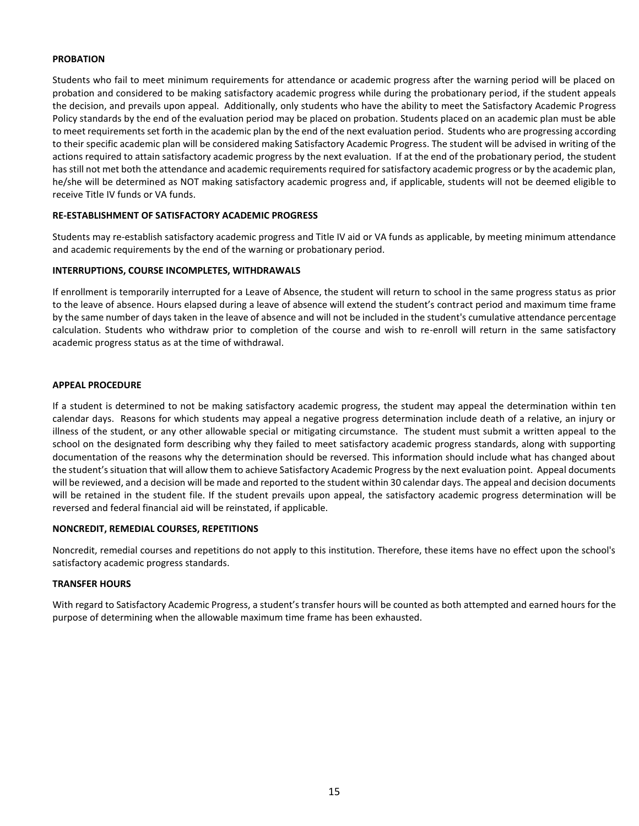#### **PROBATION**

Students who fail to meet minimum requirements for attendance or academic progress after the warning period will be placed on probation and considered to be making satisfactory academic progress while during the probationary period, if the student appeals the decision, and prevails upon appeal. Additionally, only students who have the ability to meet the Satisfactory Academic Progress Policy standards by the end of the evaluation period may be placed on probation. Students placed on an academic plan must be able to meet requirements set forth in the academic plan by the end of the next evaluation period. Students who are progressing according to their specific academic plan will be considered making Satisfactory Academic Progress. The student will be advised in writing of the actions required to attain satisfactory academic progress by the next evaluation. If at the end of the probationary period, the student has still not met both the attendance and academic requirements required for satisfactory academic progress or by the academic plan, he/she will be determined as NOT making satisfactory academic progress and, if applicable, students will not be deemed eligible to receive Title IV funds or VA funds.

#### **RE-ESTABLISHMENT OF SATISFACTORY ACADEMIC PROGRESS**

Students may re-establish satisfactory academic progress and Title IV aid or VA funds as applicable, by meeting minimum attendance and academic requirements by the end of the warning or probationary period.

#### **INTERRUPTIONS, COURSE INCOMPLETES, WITHDRAWALS**

If enrollment is temporarily interrupted for a Leave of Absence, the student will return to school in the same progress status as prior to the leave of absence. Hours elapsed during a leave of absence will extend the student's contract period and maximum time frame by the same number of days taken in the leave of absence and will not be included in the student's cumulative attendance percentage calculation. Students who withdraw prior to completion of the course and wish to re-enroll will return in the same satisfactory academic progress status as at the time of withdrawal.

#### **APPEAL PROCEDURE**

If a student is determined to not be making satisfactory academic progress, the student may appeal the determination within ten calendar days. Reasons for which students may appeal a negative progress determination include death of a relative, an injury or illness of the student, or any other allowable special or mitigating circumstance. The student must submit a written appeal to the school on the designated form describing why they failed to meet satisfactory academic progress standards, along with supporting documentation of the reasons why the determination should be reversed. This information should include what has changed about the student's situation that will allow them to achieve Satisfactory Academic Progress by the next evaluation point. Appeal documents will be reviewed, and a decision will be made and reported to the student within 30 calendar days. The appeal and decision documents will be retained in the student file. If the student prevails upon appeal, the satisfactory academic progress determination will be reversed and federal financial aid will be reinstated, if applicable.

#### **NONCREDIT, REMEDIAL COURSES, REPETITIONS**

Noncredit, remedial courses and repetitions do not apply to this institution. Therefore, these items have no effect upon the school's satisfactory academic progress standards.

#### **TRANSFER HOURS**

With regard to Satisfactory Academic Progress, a student's transfer hours will be counted as both attempted and earned hours for the purpose of determining when the allowable maximum time frame has been exhausted.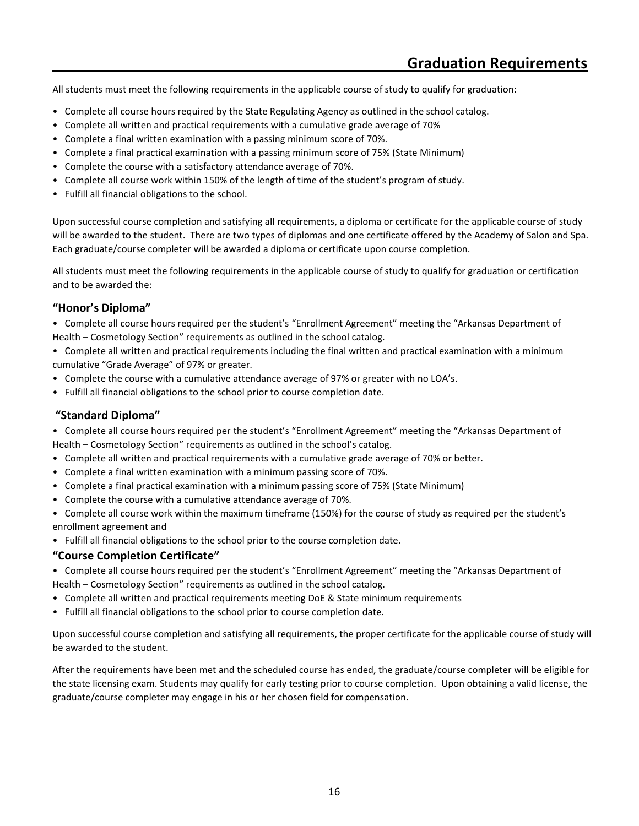All students must meet the following requirements in the applicable course of study to qualify for graduation:

- Complete all course hours required by the State Regulating Agency as outlined in the school catalog.
- Complete all written and practical requirements with a cumulative grade average of 70%
- Complete a final written examination with a passing minimum score of 70%.
- Complete a final practical examination with a passing minimum score of 75% (State Minimum)
- Complete the course with a satisfactory attendance average of 70%.
- Complete all course work within 150% of the length of time of the student's program of study.
- Fulfill all financial obligations to the school.

Upon successful course completion and satisfying all requirements, a diploma or certificate for the applicable course of study will be awarded to the student. There are two types of diplomas and one certificate offered by the Academy of Salon and Spa. Each graduate/course completer will be awarded a diploma or certificate upon course completion.

All students must meet the following requirements in the applicable course of study to qualify for graduation or certification and to be awarded the:

#### **"Honor's Diploma"**

• Complete all course hours required per the student's "Enrollment Agreement" meeting the "Arkansas Department of Health – Cosmetology Section" requirements as outlined in the school catalog.

• Complete all written and practical requirements including the final written and practical examination with a minimum cumulative "Grade Average" of 97% or greater.

- Complete the course with a cumulative attendance average of 97% or greater with no LOA's.
- Fulfill all financial obligations to the school prior to course completion date.

#### **"Standard Diploma"**

• Complete all course hours required per the student's "Enrollment Agreement" meeting the "Arkansas Department of Health – Cosmetology Section" requirements as outlined in the school's catalog.

- Complete all written and practical requirements with a cumulative grade average of 70% or better.
- Complete a final written examination with a minimum passing score of 70%.
- Complete a final practical examination with a minimum passing score of 75% (State Minimum)
- Complete the course with a cumulative attendance average of 70%.

• Complete all course work within the maximum timeframe (150%) for the course of study as required per the student's enrollment agreement and

• Fulfill all financial obligations to the school prior to the course completion date.

#### **"Course Completion Certificate"**

- Complete all course hours required per the student's "Enrollment Agreement" meeting the "Arkansas Department of Health – Cosmetology Section" requirements as outlined in the school catalog.
- Complete all written and practical requirements meeting DoE & State minimum requirements
- Fulfill all financial obligations to the school prior to course completion date.

Upon successful course completion and satisfying all requirements, the proper certificate for the applicable course of study will be awarded to the student.

After the requirements have been met and the scheduled course has ended, the graduate/course completer will be eligible for the state licensing exam. Students may qualify for early testing prior to course completion. Upon obtaining a valid license, the graduate/course completer may engage in his or her chosen field for compensation.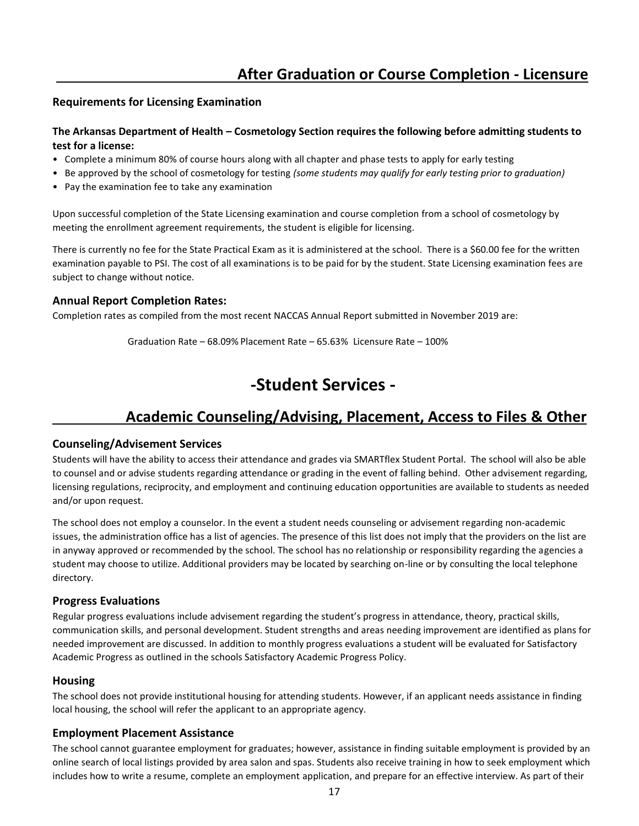## **After Graduation or Course Completion - Licensure**

#### **Requirements for Licensing Examination**

#### **The Arkansas Department of Health – Cosmetology Section requires the following before admitting students to test for a license:**

- Complete a minimum 80% of course hours along with all chapter and phase tests to apply for early testing
- Be approved by the school of cosmetology for testing *(some students may qualify for early testing prior to graduation)*
- Pay the examination fee to take any examination

Upon successful completion of the State Licensing examination and course completion from a school of cosmetology by meeting the enrollment agreement requirements, the student is eligible for licensing.

There is currently no fee for the State Practical Exam as it is administered at the school. There is a \$60.00 fee for the written examination payable to PSI. The cost of all examinations is to be paid for by the student. State Licensing examination fees are subject to change without notice.

#### **Annual Report Completion Rates:**

Completion rates as compiled from the most recent NACCAS Annual Report submitted in November 2019 are:

Graduation Rate – 68.09% Placement Rate – 65.63% Licensure Rate – 100%

## **-Student Services -**

## **Academic Counseling/Advising, Placement, Access to Files & Other**

#### **Counseling/Advisement Services**

Students will have the ability to access their attendance and grades via SMARTflex Student Portal. The school will also be able to counsel and or advise students regarding attendance or grading in the event of falling behind. Other advisement regarding, licensing regulations, reciprocity, and employment and continuing education opportunities are available to students as needed and/or upon request.

The school does not employ a counselor. In the event a student needs counseling or advisement regarding non-academic issues, the administration office has a list of agencies. The presence of this list does not imply that the providers on the list are in anyway approved or recommended by the school. The school has no relationship or responsibility regarding the agencies a student may choose to utilize. Additional providers may be located by searching on-line or by consulting the local telephone directory.

#### **Progress Evaluations**

Regular progress evaluations include advisement regarding the student's progress in attendance, theory, practical skills, communication skills, and personal development. Student strengths and areas needing improvement are identified as plans for needed improvement are discussed. In addition to monthly progress evaluations a student will be evaluated for Satisfactory Academic Progress as outlined in the schools Satisfactory Academic Progress Policy.

#### **Housing**

The school does not provide institutional housing for attending students. However, if an applicant needs assistance in finding local housing, the school will refer the applicant to an appropriate agency.

#### **Employment Placement Assistance**

The school cannot guarantee employment for graduates; however, assistance in finding suitable employment is provided by an online search of local listings provided by area salon and spas. Students also receive training in how to seek employment which includes how to write a resume, complete an employment application, and prepare for an effective interview. As part of their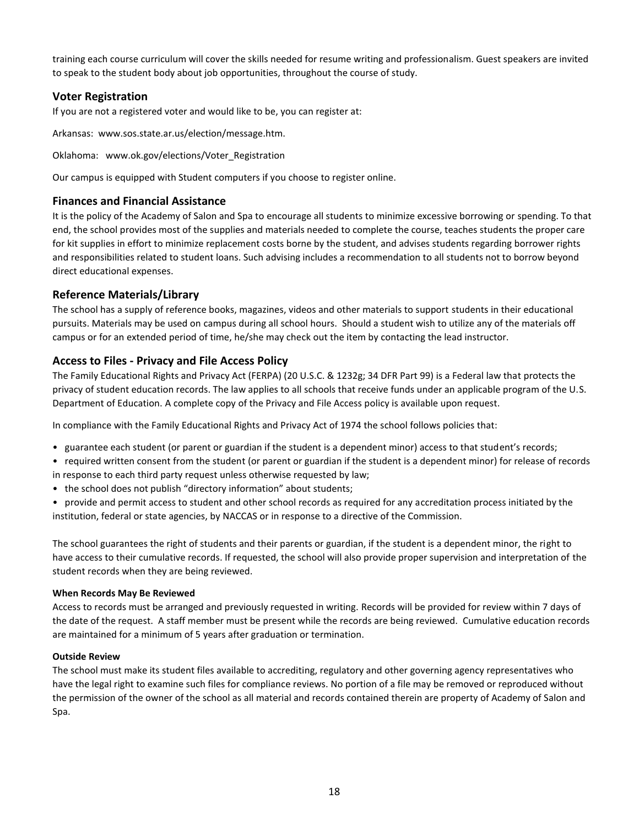training each course curriculum will cover the skills needed for resume writing and professionalism. Guest speakers are invited to speak to the student body about job opportunities, throughout the course of study.

#### **Voter Registration**

If you are not a registered voter and would like to be, you can register at:

Arkansas: www.sos.state.ar.us/election/message.htm.

Oklahoma: www.ok.gov/elections/Voter\_Registration

Our campus is equipped with Student computers if you choose to register online.

#### **Finances and Financial Assistance**

It is the policy of the Academy of Salon and Spa to encourage all students to minimize excessive borrowing or spending. To that end, the school provides most of the supplies and materials needed to complete the course, teaches students the proper care for kit supplies in effort to minimize replacement costs borne by the student, and advises students regarding borrower rights and responsibilities related to student loans. Such advising includes a recommendation to all students not to borrow beyond direct educational expenses.

#### **Reference Materials/Library**

The school has a supply of reference books, magazines, videos and other materials to support students in their educational pursuits. Materials may be used on campus during all school hours. Should a student wish to utilize any of the materials off campus or for an extended period of time, he/she may check out the item by contacting the lead instructor.

#### **Access to Files - Privacy and File Access Policy**

The Family Educational Rights and Privacy Act (FERPA) (20 U.S.C. & 1232g; 34 DFR Part 99) is a Federal law that protects the privacy of student education records. The law applies to all schools that receive funds under an applicable program of the U.S. Department of Education. A complete copy of the Privacy and File Access policy is available upon request.

In compliance with the Family Educational Rights and Privacy Act of 1974 the school follows policies that:

• guarantee each student (or parent or guardian if the student is a dependent minor) access to that student's records;

• required written consent from the student (or parent or guardian if the student is a dependent minor) for release of records in response to each third party request unless otherwise requested by law;

- the school does not publish "directory information" about students;
- provide and permit access to student and other school records as required for any accreditation process initiated by the institution, federal or state agencies, by NACCAS or in response to a directive of the Commission.

The school guarantees the right of students and their parents or guardian, if the student is a dependent minor, the right to have access to their cumulative records. If requested, the school will also provide proper supervision and interpretation of the student records when they are being reviewed.

#### **When Records May Be Reviewed**

Access to records must be arranged and previously requested in writing. Records will be provided for review within 7 days of the date of the request. A staff member must be present while the records are being reviewed. Cumulative education records are maintained for a minimum of 5 years after graduation or termination.

#### **Outside Review**

The school must make its student files available to accrediting, regulatory and other governing agency representatives who have the legal right to examine such files for compliance reviews. No portion of a file may be removed or reproduced without the permission of the owner of the school as all material and records contained therein are property of Academy of Salon and Spa.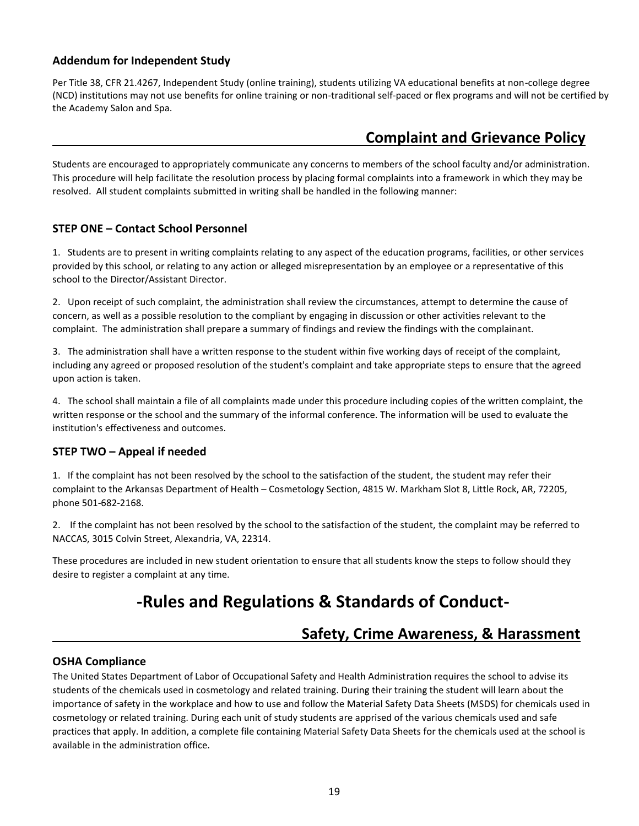#### **Addendum for Independent Study**

Per Title 38, CFR 21.4267, Independent Study (online training), students utilizing VA educational benefits at non-college degree (NCD) institutions may not use benefits for online training or non-traditional self-paced or flex programs and will not be certified by the Academy Salon and Spa.

## **Complaint and Grievance Policy**

Students are encouraged to appropriately communicate any concerns to members of the school faculty and/or administration. This procedure will help facilitate the resolution process by placing formal complaints into a framework in which they may be resolved. All student complaints submitted in writing shall be handled in the following manner:

#### **STEP ONE – Contact School Personnel**

1. Students are to present in writing complaints relating to any aspect of the education programs, facilities, or other services provided by this school, or relating to any action or alleged misrepresentation by an employee or a representative of this school to the Director/Assistant Director.

2. Upon receipt of such complaint, the administration shall review the circumstances, attempt to determine the cause of concern, as well as a possible resolution to the compliant by engaging in discussion or other activities relevant to the complaint. The administration shall prepare a summary of findings and review the findings with the complainant.

3. The administration shall have a written response to the student within five working days of receipt of the complaint, including any agreed or proposed resolution of the student's complaint and take appropriate steps to ensure that the agreed upon action is taken.

4. The school shall maintain a file of all complaints made under this procedure including copies of the written complaint, the written response or the school and the summary of the informal conference. The information will be used to evaluate the institution's effectiveness and outcomes.

#### **STEP TWO – Appeal if needed**

1. If the complaint has not been resolved by the school to the satisfaction of the student, the student may refer their complaint to the Arkansas Department of Health – Cosmetology Section, 4815 W. Markham Slot 8, Little Rock, AR, 72205, phone 501-682-2168.

2. If the complaint has not been resolved by the school to the satisfaction of the student, the complaint may be referred to NACCAS, 3015 Colvin Street, Alexandria, VA, 22314.

These procedures are included in new student orientation to ensure that all students know the steps to follow should they desire to register a complaint at any time.

# **-Rules and Regulations & Standards of Conduct-**

## **Safety, Crime Awareness, & Harassment**

#### **OSHA Compliance**

The United States Department of Labor of Occupational Safety and Health Administration requires the school to advise its students of the chemicals used in cosmetology and related training. During their training the student will learn about the importance of safety in the workplace and how to use and follow the Material Safety Data Sheets (MSDS) for chemicals used in cosmetology or related training. During each unit of study students are apprised of the various chemicals used and safe practices that apply. In addition, a complete file containing Material Safety Data Sheets for the chemicals used at the school is available in the administration office.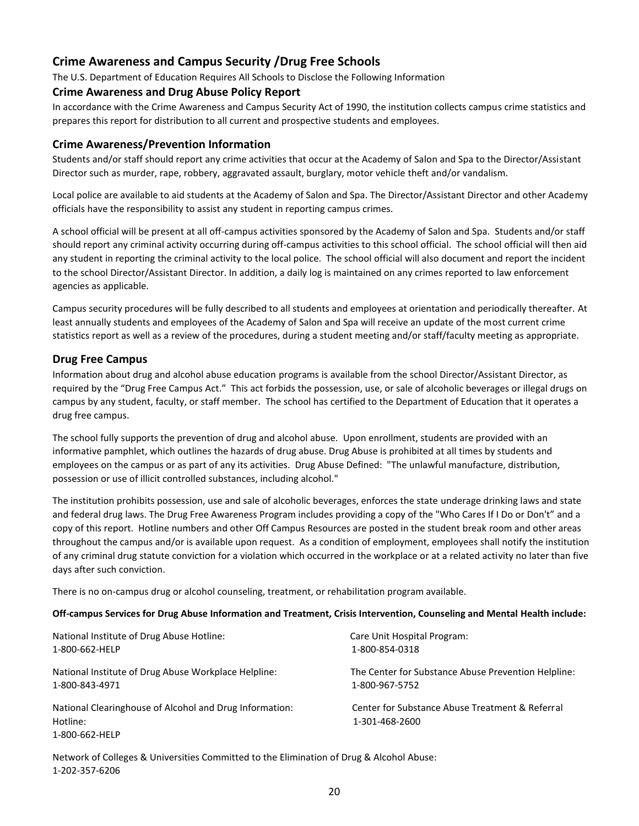#### **Crime Awareness and Campus Security /Drug Free Schools**

The U.S. Department of Education Requires All Schools to Disclose the Following Information

#### **Crime Awareness and Drug Abuse Policy Report**

In accordance with the Crime Awareness and Campus Security Act of 1990, the institution collects campus crime statistics and prepares this report for distribution to all current and prospective students and employees.

#### **Crime Awareness/Prevention Information**

Students and/or staff should report any crime activities that occur at the Academy of Salon and Spa to the Director/Assistant Director such as murder, rape, robbery, aggravated assault, burglary, motor vehicle theft and/or vandalism.

Local police are available to aid students at the Academy of Salon and Spa. The Director/Assistant Director and other Academy officials have the responsibility to assist any student in reporting campus crimes.

A school official will be present at all off-campus activities sponsored by the Academy of Salon and Spa. Students and/or staff should report any criminal activity occurring during off-campus activities to this school official. The school official will then aid any student in reporting the criminal activity to the local police. The school official will also document and report the incident to the school Director/Assistant Director. In addition, a daily log is maintained on any crimes reported to law enforcement agencies as applicable.

Campus security procedures will be fully described to all students and employees at orientation and periodically thereafter. At least annually students and employees of the Academy of Salon and Spa will receive an update of the most current crime statistics report as well as a review of the procedures, during a student meeting and/or staff/faculty meeting as appropriate.

#### **Drug Free Campus**

Information about drug and alcohol abuse education programs is available from the school Director/Assistant Director, as required by the "Drug Free Campus Act." This act forbids the possession, use, or sale of alcoholic beverages or illegal drugs on campus by any student, faculty, or staff member. The school has certified to the Department of Education that it operates a drug free campus.

The school fully supports the prevention of drug and alcohol abuse. Upon enrollment, students are provided with an informative pamphlet, which outlines the hazards of drug abuse. Drug Abuse is prohibited at all times by students and employees on the campus or as part of any its activities. Drug Abuse Defined: "The unlawful manufacture, distribution, possession or use of illicit controlled substances, including alcohol."

The institution prohibits possession, use and sale of alcoholic beverages, enforces the state underage drinking laws and state and federal drug laws. The Drug Free Awareness Program includes providing a copy of the "Who Cares If I Do or Don't" and a copy of this report. Hotline numbers and other Off Campus Resources are posted in the student break room and other areas throughout the campus and/or is available upon request. As a condition of employment, employees shall notify the institution of any criminal drug statute conviction for a violation which occurred in the workplace or at a related activity no later than five days after such conviction.

There is no on-campus drug or alcohol counseling, treatment, or rehabilitation program available.

#### **Off-campus Services for Drug Abuse Information and Treatment, Crisis Intervention, Counseling and Mental Health include:**

| National Institute of Drug Abuse Hotline:                                             | Care Unit Hospital Program:                                       |
|---------------------------------------------------------------------------------------|-------------------------------------------------------------------|
| 1-800-662-HELP                                                                        | 1-800-854-0318                                                    |
| National Institute of Drug Abuse Workplace Helpline:                                  | The Center for Substance Abuse Prevention Helpline:               |
| 1-800-843-4971                                                                        | 1-800-967-5752                                                    |
| National Clearinghouse of Alcohol and Drug Information:<br>Hotline:<br>1-800-662-HELP | Center for Substance Abuse Treatment & Referral<br>1-301-468-2600 |

Network of Colleges & Universities Committed to the Elimination of Drug & Alcohol Abuse: 1-202-357-6206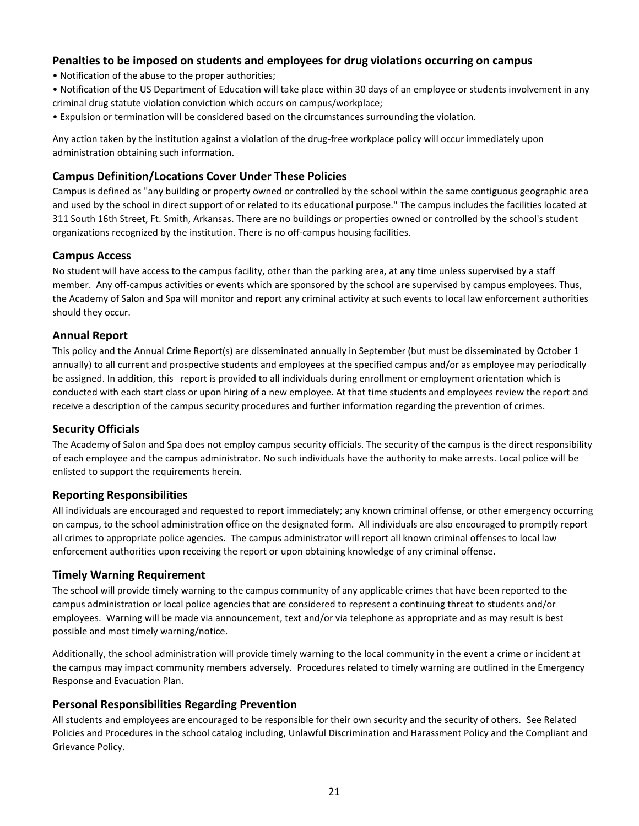#### **Penalties to be imposed on students and employees for drug violations occurring on campus**

- Notification of the abuse to the proper authorities;
- Notification of the US Department of Education will take place within 30 days of an employee or students involvement in any criminal drug statute violation conviction which occurs on campus/workplace;
- Expulsion or termination will be considered based on the circumstances surrounding the violation.

Any action taken by the institution against a violation of the drug-free workplace policy will occur immediately upon administration obtaining such information.

#### **Campus Definition/Locations Cover Under These Policies**

Campus is defined as "any building or property owned or controlled by the school within the same contiguous geographic area and used by the school in direct support of or related to its educational purpose." The campus includes the facilities located at 311 South 16th Street, Ft. Smith, Arkansas. There are no buildings or properties owned or controlled by the school's student organizations recognized by the institution. There is no off-campus housing facilities.

#### **Campus Access**

No student will have access to the campus facility, other than the parking area, at any time unless supervised by a staff member. Any off-campus activities or events which are sponsored by the school are supervised by campus employees. Thus, the Academy of Salon and Spa will monitor and report any criminal activity at such events to local law enforcement authorities should they occur.

#### **Annual Report**

This policy and the Annual Crime Report(s) are disseminated annually in September (but must be disseminated by October 1 annually) to all current and prospective students and employees at the specified campus and/or as employee may periodically be assigned. In addition, this report is provided to all individuals during enrollment or employment orientation which is conducted with each start class or upon hiring of a new employee. At that time students and employees review the report and receive a description of the campus security procedures and further information regarding the prevention of crimes.

#### **Security Officials**

The Academy of Salon and Spa does not employ campus security officials. The security of the campus is the direct responsibility of each employee and the campus administrator. No such individuals have the authority to make arrests. Local police will be enlisted to support the requirements herein.

#### **Reporting Responsibilities**

All individuals are encouraged and requested to report immediately; any known criminal offense, or other emergency occurring on campus, to the school administration office on the designated form. All individuals are also encouraged to promptly report all crimes to appropriate police agencies. The campus administrator will report all known criminal offenses to local law enforcement authorities upon receiving the report or upon obtaining knowledge of any criminal offense.

#### **Timely Warning Requirement**

The school will provide timely warning to the campus community of any applicable crimes that have been reported to the campus administration or local police agencies that are considered to represent a continuing threat to students and/or employees. Warning will be made via announcement, text and/or via telephone as appropriate and as may result is best possible and most timely warning/notice.

Additionally, the school administration will provide timely warning to the local community in the event a crime or incident at the campus may impact community members adversely. Procedures related to timely warning are outlined in the Emergency Response and Evacuation Plan.

#### **Personal Responsibilities Regarding Prevention**

All students and employees are encouraged to be responsible for their own security and the security of others. See Related Policies and Procedures in the school catalog including, Unlawful Discrimination and Harassment Policy and the Compliant and Grievance Policy.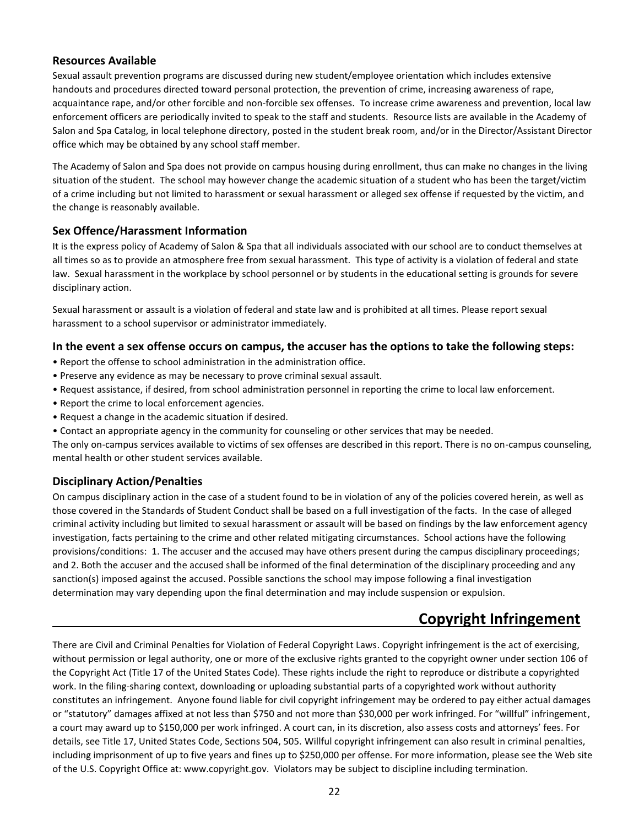#### **Resources Available**

Sexual assault prevention programs are discussed during new student/employee orientation which includes extensive handouts and procedures directed toward personal protection, the prevention of crime, increasing awareness of rape, acquaintance rape, and/or other forcible and non-forcible sex offenses. To increase crime awareness and prevention, local law enforcement officers are periodically invited to speak to the staff and students. Resource lists are available in the Academy of Salon and Spa Catalog, in local telephone directory, posted in the student break room, and/or in the Director/Assistant Director office which may be obtained by any school staff member.

The Academy of Salon and Spa does not provide on campus housing during enrollment, thus can make no changes in the living situation of the student. The school may however change the academic situation of a student who has been the target/victim of a crime including but not limited to harassment or sexual harassment or alleged sex offense if requested by the victim, and the change is reasonably available.

#### **Sex Offence/Harassment Information**

It is the express policy of Academy of Salon & Spa that all individuals associated with our school are to conduct themselves at all times so as to provide an atmosphere free from sexual harassment. This type of activity is a violation of federal and state law. Sexual harassment in the workplace by school personnel or by students in the educational setting is grounds for severe disciplinary action.

Sexual harassment or assault is a violation of federal and state law and is prohibited at all times. Please report sexual harassment to a school supervisor or administrator immediately.

#### **In the event a sex offense occurs on campus, the accuser has the options to take the following steps:**

- Report the offense to school administration in the administration office.
- Preserve any evidence as may be necessary to prove criminal sexual assault.
- Request assistance, if desired, from school administration personnel in reporting the crime to local law enforcement.
- Report the crime to local enforcement agencies.
- Request a change in the academic situation if desired.
- Contact an appropriate agency in the community for counseling or other services that may be needed.

The only on-campus services available to victims of sex offenses are described in this report. There is no on-campus counseling, mental health or other student services available.

#### **Disciplinary Action/Penalties**

On campus disciplinary action in the case of a student found to be in violation of any of the policies covered herein, as well as those covered in the Standards of Student Conduct shall be based on a full investigation of the facts. In the case of alleged criminal activity including but limited to sexual harassment or assault will be based on findings by the law enforcement agency investigation, facts pertaining to the crime and other related mitigating circumstances. School actions have the following provisions/conditions: 1. The accuser and the accused may have others present during the campus disciplinary proceedings; and 2. Both the accuser and the accused shall be informed of the final determination of the disciplinary proceeding and any sanction(s) imposed against the accused. Possible sanctions the school may impose following a final investigation determination may vary depending upon the final determination and may include suspension or expulsion.

## **Copyright Infringement**

There are Civil and Criminal Penalties for Violation of Federal Copyright Laws. Copyright infringement is the act of exercising, without permission or legal authority, one or more of the exclusive rights granted to the copyright owner under section 106 of the Copyright Act (Title 17 of the United States Code). These rights include the right to reproduce or distribute a copyrighted work. In the filing-sharing context, downloading or uploading substantial parts of a copyrighted work without authority constitutes an infringement. Anyone found liable for civil copyright infringement may be ordered to pay either actual damages or "statutory" damages affixed at not less than \$750 and not more than \$30,000 per work infringed. For "willful" infringement, a court may award up to \$150,000 per work infringed. A court can, in its discretion, also assess costs and attorneys' fees. For details, see Title 17, United States Code, Sections 504, 505. Willful copyright infringement can also result in criminal penalties, including imprisonment of up to five years and fines up to \$250,000 per offense. For more information, please see the Web site of the U.S. Copyright Office at: www.copyright.gov. Violators may be subject to discipline including termination.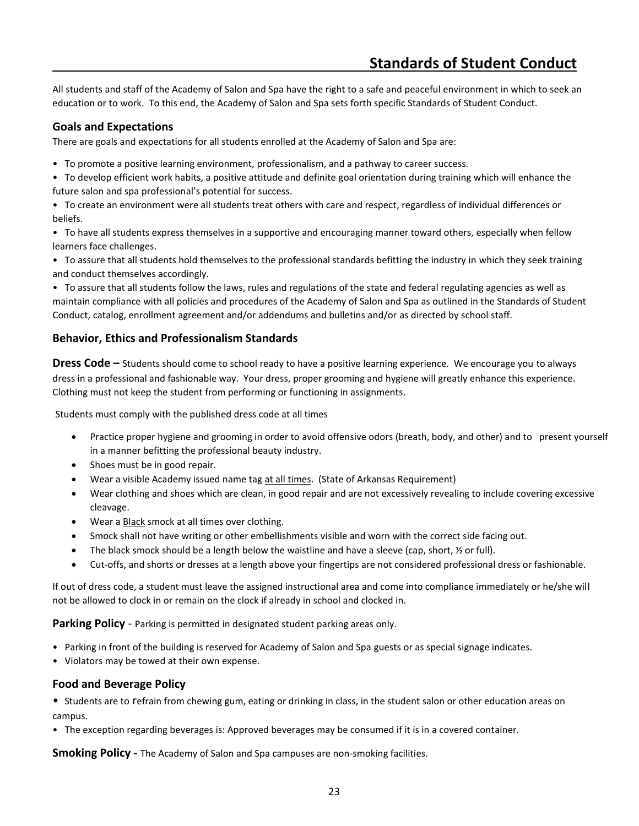All students and staff of the Academy of Salon and Spa have the right to a safe and peaceful environment in which to seek an education or to work. To this end, the Academy of Salon and Spa sets forth specific Standards of Student Conduct.

#### **Goals and Expectations**

There are goals and expectations for all students enrolled at the Academy of Salon and Spa are:

- To promote a positive learning environment, professionalism, and a pathway to career success.
- To develop efficient work habits, a positive attitude and definite goal orientation during training which will enhance the future salon and spa professional's potential for success.

• To create an environment were all students treat others with care and respect, regardless of individual differences or beliefs.

• To have all students express themselves in a supportive and encouraging manner toward others, especially when fellow learners face challenges.

• To assure that all students hold themselves to the professional standards befitting the industry in which they seek training and conduct themselves accordingly.

• To assure that all students follow the laws, rules and regulations of the state and federal regulating agencies as well as maintain compliance with all policies and procedures of the Academy of Salon and Spa as outlined in the Standards of Student Conduct, catalog, enrollment agreement and/or addendums and bulletins and/or as directed by school staff.

#### **Behavior, Ethics and Professionalism Standards**

**Dress Code –** Students should come to school ready to have a positive learning experience. We encourage you to always dress in a professional and fashionable way. Your dress, proper grooming and hygiene will greatly enhance this experience. Clothing must not keep the student from performing or functioning in assignments.

Students must comply with the published dress code at all times

- Practice proper hygiene and grooming in order to avoid offensive odors (breath, body, and other) and to present yourself in a manner befitting the professional beauty industry.
- Shoes must be in good repair.
- Wear a visible Academy issued name tag at all times. (State of Arkansas Requirement)
- Wear clothing and shoes which are clean, in good repair and are not excessively revealing to include covering excessive cleavage.
- Wear a **Black** smock at all times over clothing.
- Smock shall not have writing or other embellishments visible and worn with the correct side facing out.
- The black smock should be a length below the waistline and have a sleeve (cap, short,  $\frac{1}{2}$  or full).
- Cut-offs, and shorts or dresses at a length above your fingertips are not considered professional dress or fashionable.

If out of dress code, a student must leave the assigned instructional area and come into compliance immediately or he/she will not be allowed to clock in or remain on the clock if already in school and clocked in.

**Parking Policy** - Parking is permitted in designated student parking areas only.

- Parking in front of the building is reserved for Academy of Salon and Spa guests or as special signage indicates.
- Violators may be towed at their own expense.

#### **Food and Beverage Policy**

• Students are to refrain from chewing gum, eating or drinking in class, in the student salon or other education areas on campus.

• The exception regarding beverages is: Approved beverages may be consumed if it is in a covered container.

**Smoking Policy -** The Academy of Salon and Spa campuses are non-smoking facilities.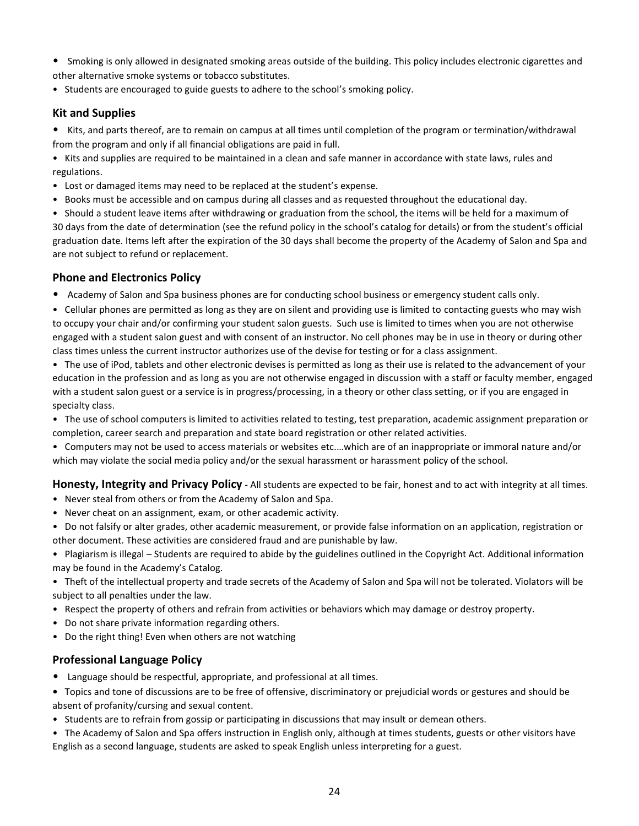- Smoking is only allowed in designated smoking areas outside of the building. This policy includes electronic cigarettes and other alternative smoke systems or tobacco substitutes.
- Students are encouraged to guide guests to adhere to the school's smoking policy.

#### **Kit and Supplies**

• Kits, and parts thereof, are to remain on campus at all times until completion of the program or termination/withdrawal from the program and only if all financial obligations are paid in full.

• Kits and supplies are required to be maintained in a clean and safe manner in accordance with state laws, rules and regulations.

- Lost or damaged items may need to be replaced at the student's expense.
- Books must be accessible and on campus during all classes and as requested throughout the educational day.

• Should a student leave items after withdrawing or graduation from the school, the items will be held for a maximum of 30 days from the date of determination (see the refund policy in the school's catalog for details) or from the student's official graduation date. Items left after the expiration of the 30 days shall become the property of the Academy of Salon and Spa and are not subject to refund or replacement.

#### **Phone and Electronics Policy**

• Academy of Salon and Spa business phones are for conducting school business or emergency student calls only.

• Cellular phones are permitted as long as they are on silent and providing use is limited to contacting guests who may wish to occupy your chair and/or confirming your student salon guests. Such use is limited to times when you are not otherwise engaged with a student salon guest and with consent of an instructor. No cell phones may be in use in theory or during other class times unless the current instructor authorizes use of the devise for testing or for a class assignment.

• The use of iPod, tablets and other electronic devises is permitted as long as their use is related to the advancement of your education in the profession and as long as you are not otherwise engaged in discussion with a staff or faculty member, engaged with a student salon guest or a service is in progress/processing, in a theory or other class setting, or if you are engaged in specialty class.

• The use of school computers is limited to activities related to testing, test preparation, academic assignment preparation or completion, career search and preparation and state board registration or other related activities.

• Computers may not be used to access materials or websites etc.…which are of an inappropriate or immoral nature and/or which may violate the social media policy and/or the sexual harassment or harassment policy of the school.

**Honesty, Integrity and Privacy Policy** - All students are expected to be fair, honest and to act with integrity at all times.

- Never steal from others or from the Academy of Salon and Spa.
- Never cheat on an assignment, exam, or other academic activity.

• Do not falsify or alter grades, other academic measurement, or provide false information on an application, registration or other document. These activities are considered fraud and are punishable by law.

• Plagiarism is illegal – Students are required to abide by the guidelines outlined in the Copyright Act. Additional information may be found in the Academy's Catalog.

• Theft of the intellectual property and trade secrets of the Academy of Salon and Spa will not be tolerated. Violators will be subject to all penalties under the law.

- Respect the property of others and refrain from activities or behaviors which may damage or destroy property.
- Do not share private information regarding others.
- Do the right thing! Even when others are not watching

#### **Professional Language Policy**

• Language should be respectful, appropriate, and professional at all times.

**•** Topics and tone of discussions are to be free of offensive, discriminatory or prejudicial words or gestures and should be absent of profanity/cursing and sexual content.

• Students are to refrain from gossip or participating in discussions that may insult or demean others.

• The Academy of Salon and Spa offers instruction in English only, although at times students, guests or other visitors have English as a second language, students are asked to speak English unless interpreting for a guest.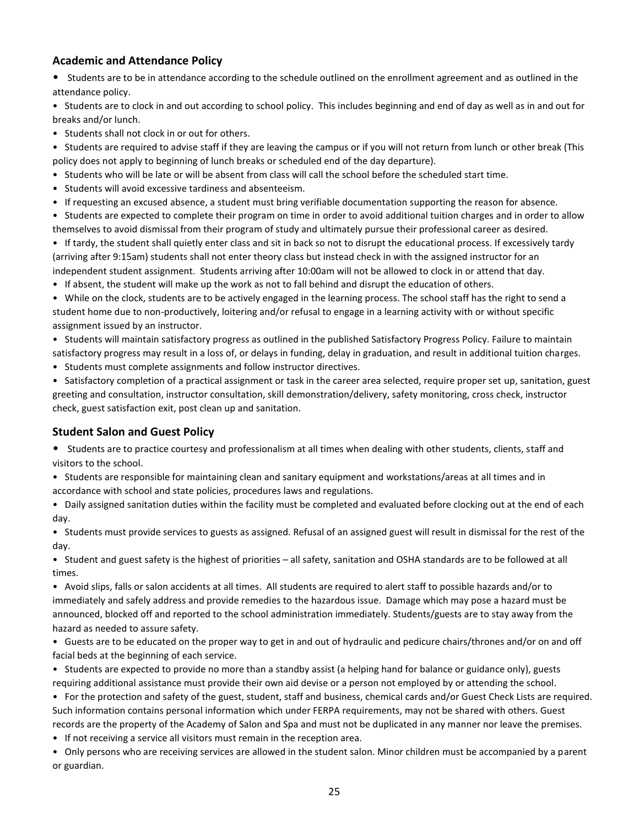#### **Academic and Attendance Policy**

• Students are to be in attendance according to the schedule outlined on the enrollment agreement and as outlined in the attendance policy.

• Students are to clock in and out according to school policy. This includes beginning and end of day as well as in and out for breaks and/or lunch.

• Students shall not clock in or out for others.

• Students are required to advise staff if they are leaving the campus or if you will not return from lunch or other break (This policy does not apply to beginning of lunch breaks or scheduled end of the day departure).

• Students who will be late or will be absent from class will call the school before the scheduled start time.

• Students will avoid excessive tardiness and absenteeism.

• If requesting an excused absence, a student must bring verifiable documentation supporting the reason for absence.

• Students are expected to complete their program on time in order to avoid additional tuition charges and in order to allow themselves to avoid dismissal from their program of study and ultimately pursue their professional career as desired.

• If tardy, the student shall quietly enter class and sit in back so not to disrupt the educational process. If excessively tardy (arriving after 9:15am) students shall not enter theory class but instead check in with the assigned instructor for an independent student assignment. Students arriving after 10:00am will not be allowed to clock in or attend that day.

• If absent, the student will make up the work as not to fall behind and disrupt the education of others.

• While on the clock, students are to be actively engaged in the learning process. The school staff has the right to send a student home due to non-productively, loitering and/or refusal to engage in a learning activity with or without specific assignment issued by an instructor.

• Students will maintain satisfactory progress as outlined in the published Satisfactory Progress Policy. Failure to maintain satisfactory progress may result in a loss of, or delays in funding, delay in graduation, and result in additional tuition charges.

• Students must complete assignments and follow instructor directives.

• Satisfactory completion of a practical assignment or task in the career area selected, require proper set up, sanitation, guest greeting and consultation, instructor consultation, skill demonstration/delivery, safety monitoring, cross check, instructor check, guest satisfaction exit, post clean up and sanitation.

#### **Student Salon and Guest Policy**

• Students are to practice courtesy and professionalism at all times when dealing with other students, clients, staff and visitors to the school.

• Students are responsible for maintaining clean and sanitary equipment and workstations/areas at all times and in accordance with school and state policies, procedures laws and regulations.

• Daily assigned sanitation duties within the facility must be completed and evaluated before clocking out at the end of each day.

• Students must provide services to guests as assigned. Refusal of an assigned guest will result in dismissal for the rest of the day.

• Student and guest safety is the highest of priorities – all safety, sanitation and OSHA standards are to be followed at all times.

• Avoid slips, falls or salon accidents at all times. All students are required to alert staff to possible hazards and/or to immediately and safely address and provide remedies to the hazardous issue. Damage which may pose a hazard must be announced, blocked off and reported to the school administration immediately. Students/guests are to stay away from the hazard as needed to assure safety.

• Guests are to be educated on the proper way to get in and out of hydraulic and pedicure chairs/thrones and/or on and off facial beds at the beginning of each service.

• Students are expected to provide no more than a standby assist (a helping hand for balance or guidance only), guests requiring additional assistance must provide their own aid devise or a person not employed by or attending the school.

• For the protection and safety of the guest, student, staff and business, chemical cards and/or Guest Check Lists are required. Such information contains personal information which under FERPA requirements, may not be shared with others. Guest records are the property of the Academy of Salon and Spa and must not be duplicated in any manner nor leave the premises.

• If not receiving a service all visitors must remain in the reception area.

• Only persons who are receiving services are allowed in the student salon. Minor children must be accompanied by a parent or guardian.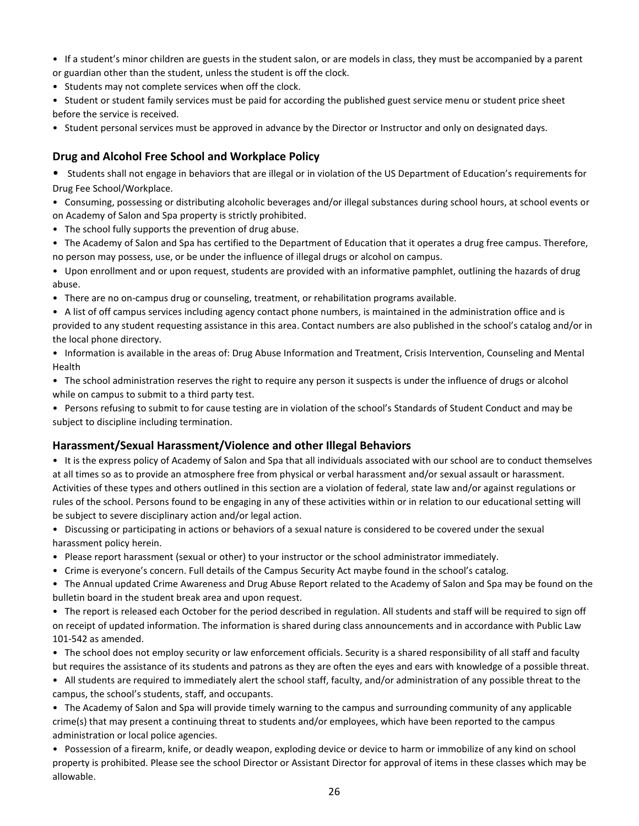• If a student's minor children are guests in the student salon, or are models in class, they must be accompanied by a parent or guardian other than the student, unless the student is off the clock.

• Students may not complete services when off the clock.

• Student or student family services must be paid for according the published guest service menu or student price sheet before the service is received.

• Student personal services must be approved in advance by the Director or Instructor and only on designated days.

#### **Drug and Alcohol Free School and Workplace Policy**

• Students shall not engage in behaviors that are illegal or in violation of the US Department of Education's requirements for Drug Fee School/Workplace.

• Consuming, possessing or distributing alcoholic beverages and/or illegal substances during school hours, at school events or on Academy of Salon and Spa property is strictly prohibited.

• The school fully supports the prevention of drug abuse.

• The Academy of Salon and Spa has certified to the Department of Education that it operates a drug free campus. Therefore, no person may possess, use, or be under the influence of illegal drugs or alcohol on campus.

• Upon enrollment and or upon request, students are provided with an informative pamphlet, outlining the hazards of drug abuse.

• There are no on-campus drug or counseling, treatment, or rehabilitation programs available.

• A list of off campus services including agency contact phone numbers, is maintained in the administration office and is provided to any student requesting assistance in this area. Contact numbers are also published in the school's catalog and/or in the local phone directory.

• Information is available in the areas of: Drug Abuse Information and Treatment, Crisis Intervention, Counseling and Mental Health

• The school administration reserves the right to require any person it suspects is under the influence of drugs or alcohol while on campus to submit to a third party test.

• Persons refusing to submit to for cause testing are in violation of the school's Standards of Student Conduct and may be subject to discipline including termination.

#### **Harassment/Sexual Harassment/Violence and other Illegal Behaviors**

• It is the express policy of Academy of Salon and Spa that all individuals associated with our school are to conduct themselves at all times so as to provide an atmosphere free from physical or verbal harassment and/or sexual assault or harassment. Activities of these types and others outlined in this section are a violation of federal, state law and/or against regulations or rules of the school. Persons found to be engaging in any of these activities within or in relation to our educational setting will be subject to severe disciplinary action and/or legal action.

• Discussing or participating in actions or behaviors of a sexual nature is considered to be covered under the sexual harassment policy herein.

- Please report harassment (sexual or other) to your instructor or the school administrator immediately.
- Crime is everyone's concern. Full details of the Campus Security Act maybe found in the school's catalog.

• The Annual updated Crime Awareness and Drug Abuse Report related to the Academy of Salon and Spa may be found on the bulletin board in the student break area and upon request.

• The report is released each October for the period described in regulation. All students and staff will be required to sign off on receipt of updated information. The information is shared during class announcements and in accordance with Public Law 101-542 as amended.

• The school does not employ security or law enforcement officials. Security is a shared responsibility of all staff and faculty but requires the assistance of its students and patrons as they are often the eyes and ears with knowledge of a possible threat.

• All students are required to immediately alert the school staff, faculty, and/or administration of any possible threat to the campus, the school's students, staff, and occupants.

• The Academy of Salon and Spa will provide timely warning to the campus and surrounding community of any applicable crime(s) that may present a continuing threat to students and/or employees, which have been reported to the campus administration or local police agencies.

• Possession of a firearm, knife, or deadly weapon, exploding device or device to harm or immobilize of any kind on school property is prohibited. Please see the school Director or Assistant Director for approval of items in these classes which may be allowable.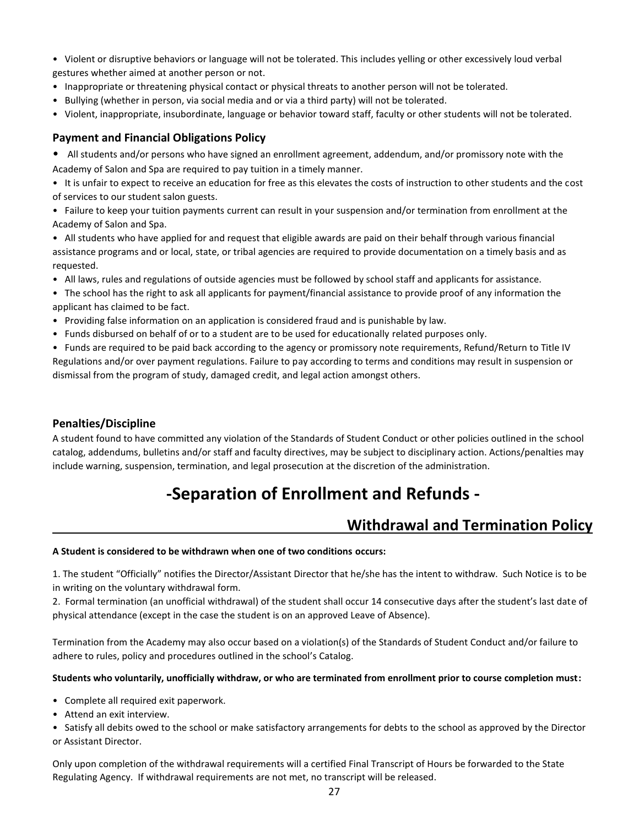• Violent or disruptive behaviors or language will not be tolerated. This includes yelling or other excessively loud verbal gestures whether aimed at another person or not.

- Inappropriate or threatening physical contact or physical threats to another person will not be tolerated.
- Bullying (whether in person, via social media and or via a third party) will not be tolerated.
- Violent, inappropriate, insubordinate, language or behavior toward staff, faculty or other students will not be tolerated.

#### **Payment and Financial Obligations Policy**

• All students and/or persons who have signed an enrollment agreement, addendum, and/or promissory note with the Academy of Salon and Spa are required to pay tuition in a timely manner.

• It is unfair to expect to receive an education for free as this elevates the costs of instruction to other students and the cost of services to our student salon guests.

• Failure to keep your tuition payments current can result in your suspension and/or termination from enrollment at the Academy of Salon and Spa.

• All students who have applied for and request that eligible awards are paid on their behalf through various financial assistance programs and or local, state, or tribal agencies are required to provide documentation on a timely basis and as requested.

• All laws, rules and regulations of outside agencies must be followed by school staff and applicants for assistance.

• The school has the right to ask all applicants for payment/financial assistance to provide proof of any information the applicant has claimed to be fact.

• Providing false information on an application is considered fraud and is punishable by law.

• Funds disbursed on behalf of or to a student are to be used for educationally related purposes only.

• Funds are required to be paid back according to the agency or promissory note requirements, Refund/Return to Title IV Regulations and/or over payment regulations. Failure to pay according to terms and conditions may result in suspension or dismissal from the program of study, damaged credit, and legal action amongst others.

#### **Penalties/Discipline**

A student found to have committed any violation of the Standards of Student Conduct or other policies outlined in the school catalog, addendums, bulletins and/or staff and faculty directives, may be subject to disciplinary action. Actions/penalties may include warning, suspension, termination, and legal prosecution at the discretion of the administration.

# **-Separation of Enrollment and Refunds -**

## **Withdrawal and Termination Policy**

#### **A Student is considered to be withdrawn when one of two conditions occurs:**

1. The student "Officially" notifies the Director/Assistant Director that he/she has the intent to withdraw. Such Notice is to be in writing on the voluntary withdrawal form.

2. Formal termination (an unofficial withdrawal) of the student shall occur 14 consecutive days after the student's last date of physical attendance (except in the case the student is on an approved Leave of Absence).

Termination from the Academy may also occur based on a violation(s) of the Standards of Student Conduct and/or failure to adhere to rules, policy and procedures outlined in the school's Catalog.

#### **Students who voluntarily, unofficially withdraw, or who are terminated from enrollment prior to course completion must:**

- Complete all required exit paperwork.
- Attend an exit interview.

• Satisfy all debits owed to the school or make satisfactory arrangements for debts to the school as approved by the Director or Assistant Director.

Only upon completion of the withdrawal requirements will a certified Final Transcript of Hours be forwarded to the State Regulating Agency. If withdrawal requirements are not met, no transcript will be released.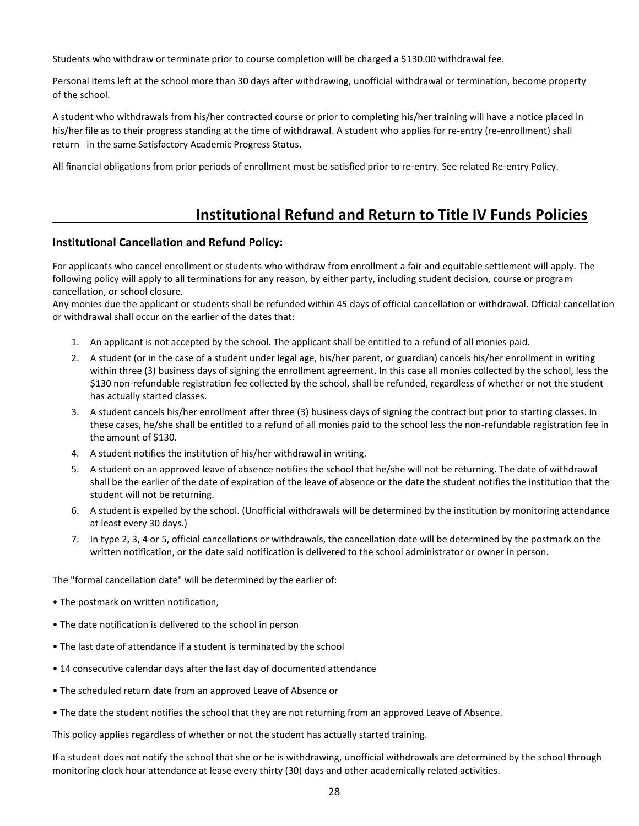Students who withdraw or terminate prior to course completion will be charged a \$130.00 withdrawal fee.

Personal items left at the school more than 30 days after withdrawing, unofficial withdrawal or termination, become property of the school.

A student who withdrawals from his/her contracted course or prior to completing his/her training will have a notice placed in his/her file as to their progress standing at the time of withdrawal. A student who applies for re-entry (re-enrollment) shall return in the same Satisfactory Academic Progress Status.

All financial obligations from prior periods of enrollment must be satisfied prior to re-entry. See related Re-entry Policy.

## **Institutional Refund and Return to Title IV Funds Policies**

#### **Institutional Cancellation and Refund Policy:**

For applicants who cancel enrollment or students who withdraw from enrollment a fair and equitable settlement will apply. The following policy will apply to all terminations for any reason, by either party, including student decision, course or program cancellation, or school closure.

Any monies due the applicant or students shall be refunded within 45 days of official cancellation or withdrawal. Official cancellation or withdrawal shall occur on the earlier of the dates that:

- 1. An applicant is not accepted by the school. The applicant shall be entitled to a refund of all monies paid.
- 2. A student (or in the case of a student under legal age, his/her parent, or guardian) cancels his/her enrollment in writing within three (3) business days of signing the enrollment agreement. In this case all monies collected by the school, less the \$130 non-refundable registration fee collected by the school, shall be refunded, regardless of whether or not the student has actually started classes.
- 3. A student cancels his/her enrollment after three (3) business days of signing the contract but prior to starting classes. In these cases, he/she shall be entitled to a refund of all monies paid to the school less the non-refundable registration fee in the amount of \$130.
- 4. A student notifies the institution of his/her withdrawal in writing.
- 5. A student on an approved leave of absence notifies the school that he/she will not be returning. The date of withdrawal shall be the earlier of the date of expiration of the leave of absence or the date the student notifies the institution that the student will not be returning.
- 6. A student is expelled by the school. (Unofficial withdrawals will be determined by the institution by monitoring attendance at least every 30 days.)
- 7. In type 2, 3, 4 or 5, official cancellations or withdrawals, the cancellation date will be determined by the postmark on the written notification, or the date said notification is delivered to the school administrator or owner in person.

The "formal cancellation date" will be determined by the earlier of:

- The postmark on written notification,
- The date notification is delivered to the school in person
- The last date of attendance if a student is terminated by the school
- 14 consecutive calendar days after the last day of documented attendance
- The scheduled return date from an approved Leave of Absence or
- The date the student notifies the school that they are not returning from an approved Leave of Absence.

This policy applies regardless of whether or not the student has actually started training.

If a student does not notify the school that she or he is withdrawing, unofficial withdrawals are determined by the school through monitoring clock hour attendance at lease every thirty (30) days and other academically related activities.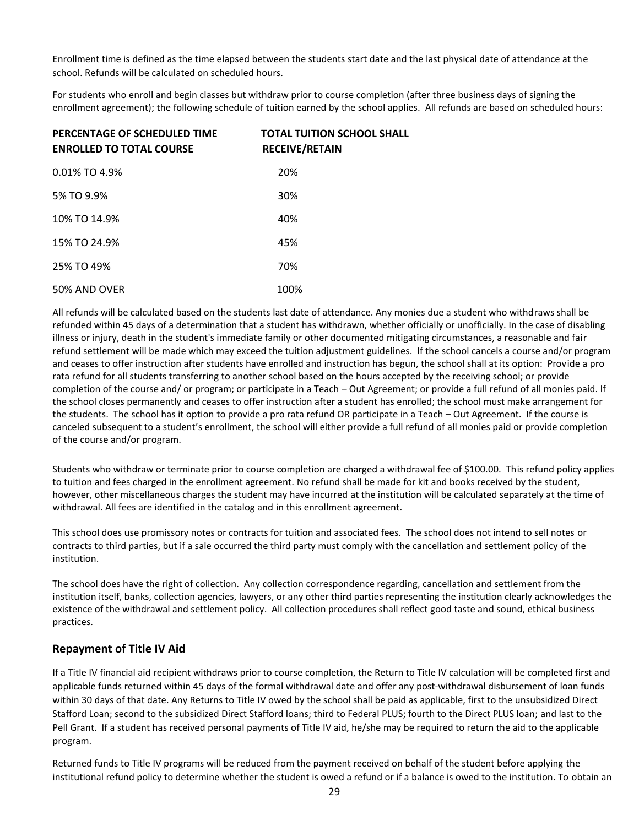Enrollment time is defined as the time elapsed between the students start date and the last physical date of attendance at the school. Refunds will be calculated on scheduled hours.

For students who enroll and begin classes but withdraw prior to course completion (after three business days of signing the enrollment agreement); the following schedule of tuition earned by the school applies. All refunds are based on scheduled hours:

| PERCENTAGE OF SCHEDULED TIME<br><b>ENROLLED TO TOTAL COURSE</b> | <b>TOTAL TUITION SCHOOL SHALL</b><br><b>RECEIVE/RETAIN</b> |
|-----------------------------------------------------------------|------------------------------------------------------------|
| $0.01\%$ TO 4.9%                                                | 20%                                                        |
| 5% TO 9.9%                                                      | 30%                                                        |
| 10% TO 14.9%                                                    | 40%                                                        |
| 15% TO 24.9%                                                    | 45%                                                        |
| 25% TO 49%                                                      | 70%                                                        |
| 50% AND OVER                                                    | 100%                                                       |

All refunds will be calculated based on the students last date of attendance. Any monies due a student who withdraws shall be refunded within 45 days of a determination that a student has withdrawn, whether officially or unofficially. In the case of disabling illness or injury, death in the student's immediate family or other documented mitigating circumstances, a reasonable and fair refund settlement will be made which may exceed the tuition adjustment guidelines. If the school cancels a course and/or program and ceases to offer instruction after students have enrolled and instruction has begun, the school shall at its option: Provide a pro rata refund for all students transferring to another school based on the hours accepted by the receiving school; or provide completion of the course and/ or program; or participate in a Teach – Out Agreement; or provide a full refund of all monies paid. If the school closes permanently and ceases to offer instruction after a student has enrolled; the school must make arrangement for the students. The school has it option to provide a pro rata refund OR participate in a Teach – Out Agreement. If the course is canceled subsequent to a student's enrollment, the school will either provide a full refund of all monies paid or provide completion of the course and/or program.

Students who withdraw or terminate prior to course completion are charged a withdrawal fee of \$100.00. This refund policy applies to tuition and fees charged in the enrollment agreement. No refund shall be made for kit and books received by the student, however, other miscellaneous charges the student may have incurred at the institution will be calculated separately at the time of withdrawal. All fees are identified in the catalog and in this enrollment agreement.

This school does use promissory notes or contracts for tuition and associated fees. The school does not intend to sell notes or contracts to third parties, but if a sale occurred the third party must comply with the cancellation and settlement policy of the institution.

The school does have the right of collection. Any collection correspondence regarding, cancellation and settlement from the institution itself, banks, collection agencies, lawyers, or any other third parties representing the institution clearly acknowledges the existence of the withdrawal and settlement policy. All collection procedures shall reflect good taste and sound, ethical business practices.

#### **Repayment of Title IV Aid**

If a Title IV financial aid recipient withdraws prior to course completion, the Return to Title IV calculation will be completed first and applicable funds returned within 45 days of the formal withdrawal date and offer any post-withdrawal disbursement of loan funds within 30 days of that date. Any Returns to Title IV owed by the school shall be paid as applicable, first to the unsubsidized Direct Stafford Loan; second to the subsidized Direct Stafford loans; third to Federal PLUS; fourth to the Direct PLUS loan; and last to the Pell Grant. If a student has received personal payments of Title IV aid, he/she may be required to return the aid to the applicable program.

Returned funds to Title IV programs will be reduced from the payment received on behalf of the student before applying the institutional refund policy to determine whether the student is owed a refund or if a balance is owed to the institution. To obtain an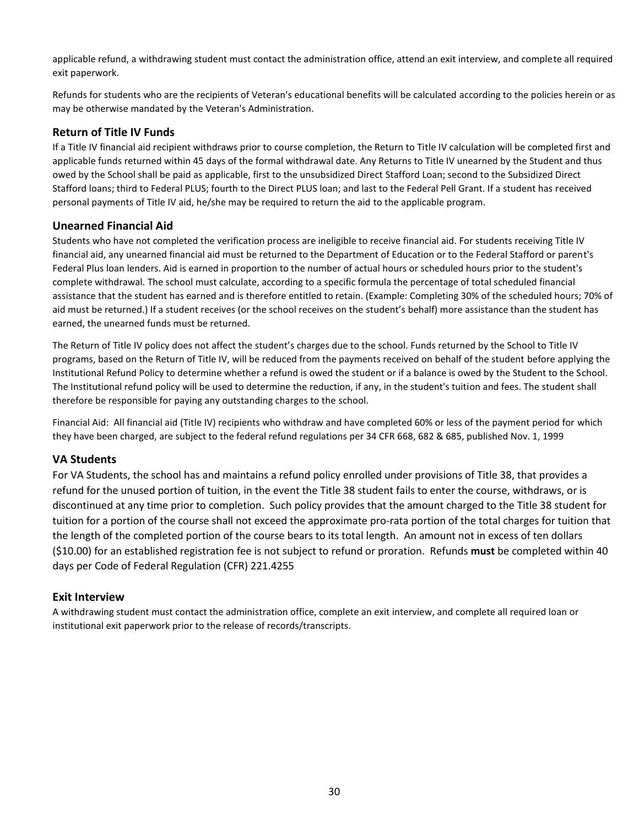applicable refund, a withdrawing student must contact the administration office, attend an exit interview, and complete all required exit paperwork.

Refunds for students who are the recipients of Veteran's educational benefits will be calculated according to the policies herein or as may be otherwise mandated by the Veteran's Administration.

#### **Return of Title IV Funds**

If a Title IV financial aid recipient withdraws prior to course completion, the Return to Title IV calculation will be completed first and applicable funds returned within 45 days of the formal withdrawal date. Any Returns to Title IV unearned by the Student and thus owed by the School shall be paid as applicable, first to the unsubsidized Direct Stafford Loan; second to the Subsidized Direct Stafford loans; third to Federal PLUS; fourth to the Direct PLUS loan; and last to the Federal Pell Grant. If a student has received personal payments of Title IV aid, he/she may be required to return the aid to the applicable program.

#### **Unearned Financial Aid**

Students who have not completed the verification process are ineligible to receive financial aid. For students receiving Title IV financial aid, any unearned financial aid must be returned to the Department of Education or to the Federal Stafford or parent's Federal Plus loan lenders. Aid is earned in proportion to the number of actual hours or scheduled hours prior to the student's complete withdrawal. The school must calculate, according to a specific formula the percentage of total scheduled financial assistance that the student has earned and is therefore entitled to retain. (Example: Completing 30% of the scheduled hours; 70% of aid must be returned.) If a student receives (or the school receives on the student's behalf) more assistance than the student has earned, the unearned funds must be returned.

The Return of Title IV policy does not affect the student's charges due to the school. Funds returned by the School to Title IV programs, based on the Return of Title IV, will be reduced from the payments received on behalf of the student before applying the Institutional Refund Policy to determine whether a refund is owed the student or if a balance is owed by the Student to the School. The Institutional refund policy will be used to determine the reduction, if any, in the student's tuition and fees. The student shall therefore be responsible for paying any outstanding charges to the school.

Financial Aid: All financial aid (Title IV) recipients who withdraw and have completed 60% or less of the payment period for which they have been charged, are subject to the federal refund regulations per 34 CFR 668, 682 & 685, published Nov. 1, 1999

#### **VA Students**

For VA Students, the school has and maintains a refund policy enrolled under provisions of Title 38, that provides a refund for the unused portion of tuition, in the event the Title 38 student fails to enter the course, withdraws, or is discontinued at any time prior to completion. Such policy provides that the amount charged to the Title 38 student for tuition for a portion of the course shall not exceed the approximate pro-rata portion of the total charges for tuition that the length of the completed portion of the course bears to its total length. An amount not in excess of ten dollars (\$10.00) for an established registration fee is not subject to refund or proration. Refunds **must** be completed within 40 days per Code of Federal Regulation (CFR) 221.4255

#### **Exit Interview**

A withdrawing student must contact the administration office, complete an exit interview, and complete all required loan or institutional exit paperwork prior to the release of records/transcripts.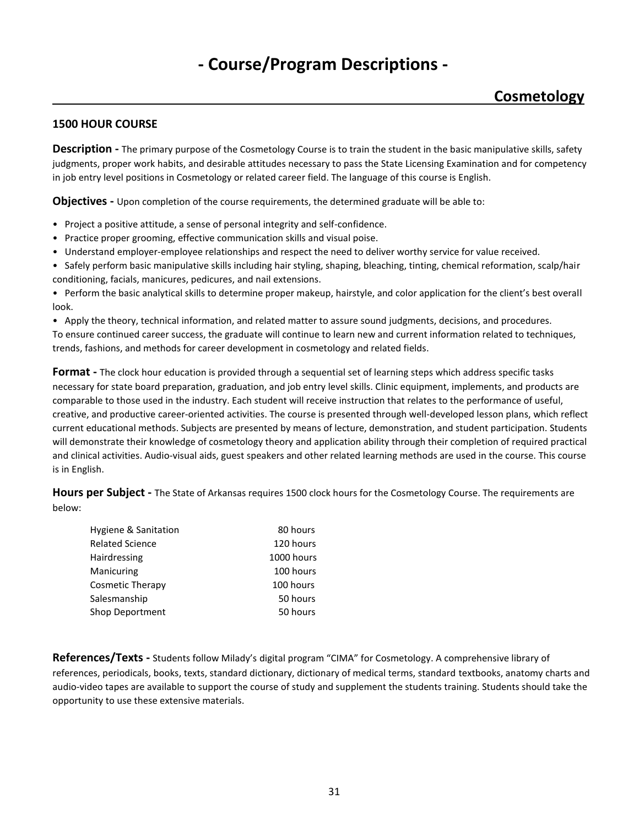# **- Course/Program Descriptions -**

## **Cosmetology**

#### **1500 HOUR COURSE**

**Description -** The primary purpose of the Cosmetology Course is to train the student in the basic manipulative skills, safety judgments, proper work habits, and desirable attitudes necessary to pass the State Licensing Examination and for competency in job entry level positions in Cosmetology or related career field. The language of this course is English.

**Objectives -** Upon completion of the course requirements, the determined graduate will be able to:

- Project a positive attitude, a sense of personal integrity and self-confidence.
- Practice proper grooming, effective communication skills and visual poise.
- Understand employer-employee relationships and respect the need to deliver worthy service for value received.
- Safely perform basic manipulative skills including hair styling, shaping, bleaching, tinting, chemical reformation, scalp/hair conditioning, facials, manicures, pedicures, and nail extensions.

• Perform the basic analytical skills to determine proper makeup, hairstyle, and color application for the client's best overall look.

• Apply the theory, technical information, and related matter to assure sound judgments, decisions, and procedures.

To ensure continued career success, the graduate will continue to learn new and current information related to techniques, trends, fashions, and methods for career development in cosmetology and related fields.

**Format -** The clock hour education is provided through a sequential set of learning steps which address specific tasks necessary for state board preparation, graduation, and job entry level skills. Clinic equipment, implements, and products are comparable to those used in the industry. Each student will receive instruction that relates to the performance of useful, creative, and productive career-oriented activities. The course is presented through well-developed lesson plans, which reflect current educational methods. Subjects are presented by means of lecture, demonstration, and student participation. Students will demonstrate their knowledge of cosmetology theory and application ability through their completion of required practical and clinical activities. Audio-visual aids, guest speakers and other related learning methods are used in the course. This course is in English.

**Hours per Subject -** The State of Arkansas requires 1500 clock hours for the Cosmetology Course. The requirements are below:

| Hygiene & Sanitation   | 80 hours   |
|------------------------|------------|
| <b>Related Science</b> | 120 hours  |
| Hairdressing           | 1000 hours |
| Manicuring             | 100 hours  |
| Cosmetic Therapy       | 100 hours  |
| Salesmanship           | 50 hours   |
| Shop Deportment        | 50 hours   |
|                        |            |

**References/Texts -** Students follow Milady's digital program "CIMA" for Cosmetology. A comprehensive library of references, periodicals, books, texts, standard dictionary, dictionary of medical terms, standard textbooks, anatomy charts and audio-video tapes are available to support the course of study and supplement the students training. Students should take the opportunity to use these extensive materials.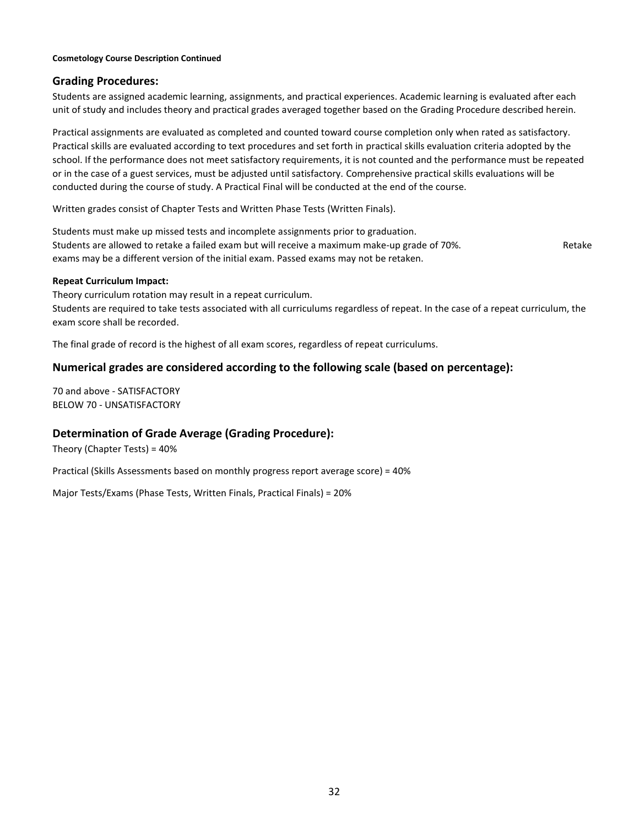#### **Cosmetology Course Description Continued**

#### **Grading Procedures:**

Students are assigned academic learning, assignments, and practical experiences. Academic learning is evaluated after each unit of study and includes theory and practical grades averaged together based on the Grading Procedure described herein.

Practical assignments are evaluated as completed and counted toward course completion only when rated as satisfactory. Practical skills are evaluated according to text procedures and set forth in practical skills evaluation criteria adopted by the school. If the performance does not meet satisfactory requirements, it is not counted and the performance must be repeated or in the case of a guest services, must be adjusted until satisfactory. Comprehensive practical skills evaluations will be conducted during the course of study. A Practical Final will be conducted at the end of the course.

Written grades consist of Chapter Tests and Written Phase Tests (Written Finals).

Students must make up missed tests and incomplete assignments prior to graduation. Students are allowed to retake a failed exam but will receive a maximum make-up grade of 70%. The same of Retake exams may be a different version of the initial exam. Passed exams may not be retaken.

#### **Repeat Curriculum Impact:**

Theory curriculum rotation may result in a repeat curriculum. Students are required to take tests associated with all curriculums regardless of repeat. In the case of a repeat curriculum, the exam score shall be recorded.

The final grade of record is the highest of all exam scores, regardless of repeat curriculums.

#### **Numerical grades are considered according to the following scale (based on percentage):**

70 and above - SATISFACTORY BELOW 70 - UNSATISFACTORY

#### **Determination of Grade Average (Grading Procedure):**

Theory (Chapter Tests) = 40%

Practical (Skills Assessments based on monthly progress report average score) = 40%

Major Tests/Exams (Phase Tests, Written Finals, Practical Finals) = 20%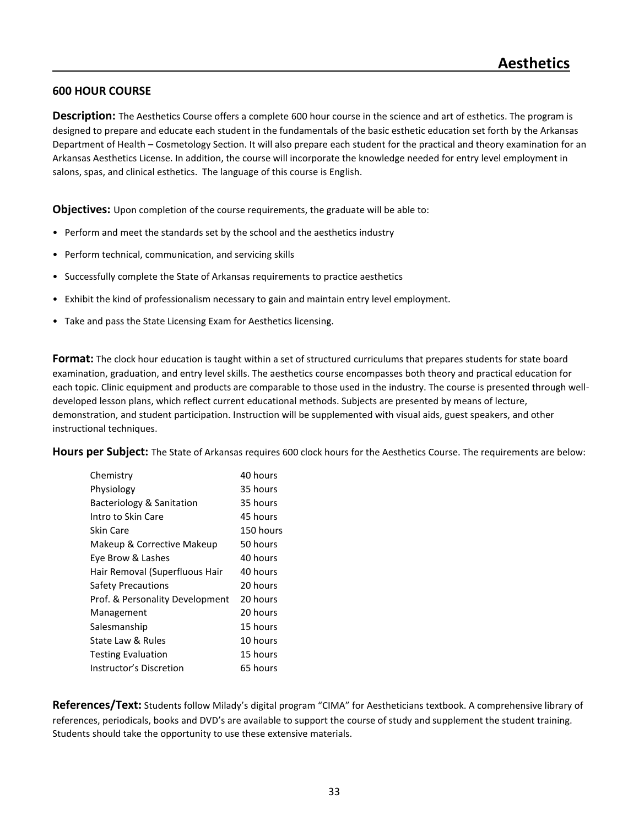#### **600 HOUR COURSE**

**Description:** The Aesthetics Course offers a complete 600 hour course in the science and art of esthetics. The program is designed to prepare and educate each student in the fundamentals of the basic esthetic education set forth by the Arkansas Department of Health – Cosmetology Section. It will also prepare each student for the practical and theory examination for an Arkansas Aesthetics License. In addition, the course will incorporate the knowledge needed for entry level employment in salons, spas, and clinical esthetics. The language of this course is English.

**Objectives:** Upon completion of the course requirements, the graduate will be able to:

- Perform and meet the standards set by the school and the aesthetics industry
- Perform technical, communication, and servicing skills
- Successfully complete the State of Arkansas requirements to practice aesthetics
- Exhibit the kind of professionalism necessary to gain and maintain entry level employment.
- Take and pass the State Licensing Exam for Aesthetics licensing.

**Format:** The clock hour education is taught within a set of structured curriculums that prepares students for state board examination, graduation, and entry level skills. The aesthetics course encompasses both theory and practical education for each topic. Clinic equipment and products are comparable to those used in the industry. The course is presented through welldeveloped lesson plans, which reflect current educational methods. Subjects are presented by means of lecture, demonstration, and student participation. Instruction will be supplemented with visual aids, guest speakers, and other instructional techniques.

**Hours per Subject:** The State of Arkansas requires 600 clock hours for the Aesthetics Course. The requirements are below:

| Chemistry                       | 40 hours  |
|---------------------------------|-----------|
| Physiology                      | 35 hours  |
| Bacteriology & Sanitation       | 35 hours  |
| Intro to Skin Care              | 45 hours  |
| Skin Care                       | 150 hours |
| Makeup & Corrective Makeup      | 50 hours  |
| Eye Brow & Lashes               | 40 hours  |
| Hair Removal (Superfluous Hair  | 40 hours  |
| Safety Precautions              | 20 hours  |
| Prof. & Personality Development | 20 hours  |
| Management                      | 20 hours  |
| Salesmanship                    | 15 hours  |
| State Law & Rules               | 10 hours  |
| <b>Testing Evaluation</b>       | 15 hours  |
| Instructor's Discretion         | 65 hours  |

**References/Text:** Students follow Milady's digital program "CIMA" for Aestheticians textbook. A comprehensive library of references, periodicals, books and DVD's are available to support the course of study and supplement the student training. Students should take the opportunity to use these extensive materials.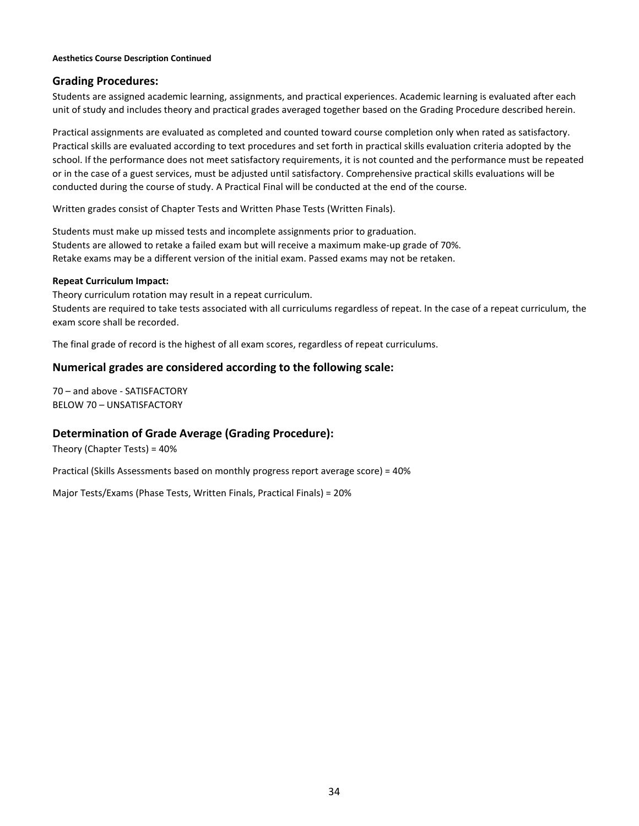#### **Aesthetics Course Description Continued**

#### **Grading Procedures:**

Students are assigned academic learning, assignments, and practical experiences. Academic learning is evaluated after each unit of study and includes theory and practical grades averaged together based on the Grading Procedure described herein.

Practical assignments are evaluated as completed and counted toward course completion only when rated as satisfactory. Practical skills are evaluated according to text procedures and set forth in practical skills evaluation criteria adopted by the school. If the performance does not meet satisfactory requirements, it is not counted and the performance must be repeated or in the case of a guest services, must be adjusted until satisfactory. Comprehensive practical skills evaluations will be conducted during the course of study. A Practical Final will be conducted at the end of the course.

Written grades consist of Chapter Tests and Written Phase Tests (Written Finals).

Students must make up missed tests and incomplete assignments prior to graduation. Students are allowed to retake a failed exam but will receive a maximum make-up grade of 70%. Retake exams may be a different version of the initial exam. Passed exams may not be retaken.

#### **Repeat Curriculum Impact:**

Theory curriculum rotation may result in a repeat curriculum. Students are required to take tests associated with all curriculums regardless of repeat. In the case of a repeat curriculum, the exam score shall be recorded.

The final grade of record is the highest of all exam scores, regardless of repeat curriculums.

#### **Numerical grades are considered according to the following scale:**

70 – and above - SATISFACTORY BELOW 70 – UNSATISFACTORY

#### **Determination of Grade Average (Grading Procedure):**

Theory (Chapter Tests) = 40%

Practical (Skills Assessments based on monthly progress report average score) = 40%

Major Tests/Exams (Phase Tests, Written Finals, Practical Finals) = 20%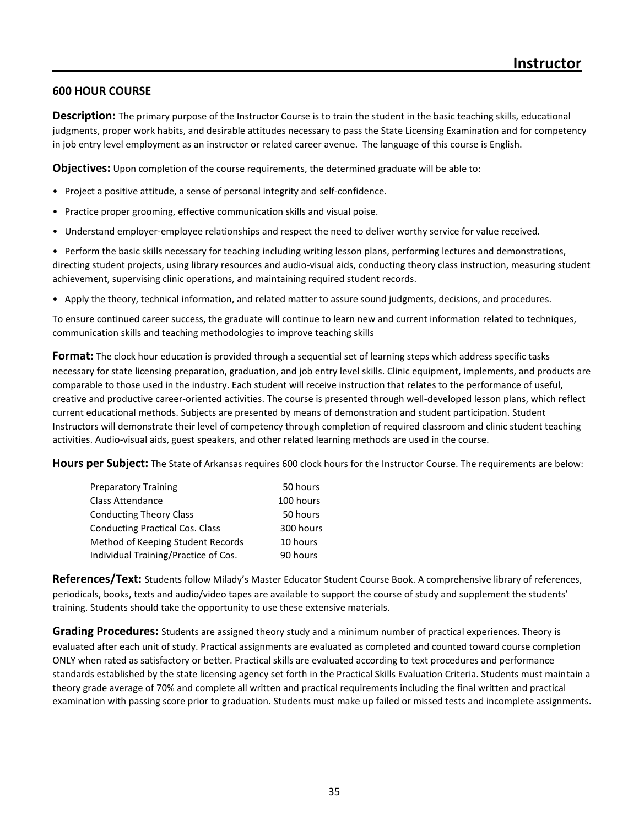#### **600 HOUR COURSE**

**Description:** The primary purpose of the Instructor Course is to train the student in the basic teaching skills, educational judgments, proper work habits, and desirable attitudes necessary to pass the State Licensing Examination and for competency in job entry level employment as an instructor or related career avenue. The language of this course is English.

**Objectives:** Upon completion of the course requirements, the determined graduate will be able to:

- Project a positive attitude, a sense of personal integrity and self-confidence.
- Practice proper grooming, effective communication skills and visual poise.
- Understand employer-employee relationships and respect the need to deliver worthy service for value received.

• Perform the basic skills necessary for teaching including writing lesson plans, performing lectures and demonstrations, directing student projects, using library resources and audio-visual aids, conducting theory class instruction, measuring student achievement, supervising clinic operations, and maintaining required student records.

• Apply the theory, technical information, and related matter to assure sound judgments, decisions, and procedures.

To ensure continued career success, the graduate will continue to learn new and current information related to techniques, communication skills and teaching methodologies to improve teaching skills

**Format:** The clock hour education is provided through a sequential set of learning steps which address specific tasks necessary for state licensing preparation, graduation, and job entry level skills. Clinic equipment, implements, and products are comparable to those used in the industry. Each student will receive instruction that relates to the performance of useful, creative and productive career-oriented activities. The course is presented through well-developed lesson plans, which reflect current educational methods. Subjects are presented by means of demonstration and student participation. Student Instructors will demonstrate their level of competency through completion of required classroom and clinic student teaching activities. Audio-visual aids, guest speakers, and other related learning methods are used in the course.

**Hours per Subject:** The State of Arkansas requires 600 clock hours for the Instructor Course. The requirements are below:

| <b>Preparatory Training</b>            | 50 hours  |  |
|----------------------------------------|-----------|--|
| <b>Class Attendance</b>                | 100 hours |  |
| <b>Conducting Theory Class</b>         | 50 hours  |  |
| <b>Conducting Practical Cos. Class</b> | 300 hours |  |
| Method of Keeping Student Records      | 10 hours  |  |
| Individual Training/Practice of Cos.   | 90 hours  |  |

**References/Text:** Students follow Milady's Master Educator Student Course Book. A comprehensive library of references, periodicals, books, texts and audio/video tapes are available to support the course of study and supplement the students' training. Students should take the opportunity to use these extensive materials.

**Grading Procedures:** Students are assigned theory study and a minimum number of practical experiences. Theory is evaluated after each unit of study. Practical assignments are evaluated as completed and counted toward course completion ONLY when rated as satisfactory or better. Practical skills are evaluated according to text procedures and performance standards established by the state licensing agency set forth in the Practical Skills Evaluation Criteria. Students must maintain a theory grade average of 70% and complete all written and practical requirements including the final written and practical examination with passing score prior to graduation. Students must make up failed or missed tests and incomplete assignments.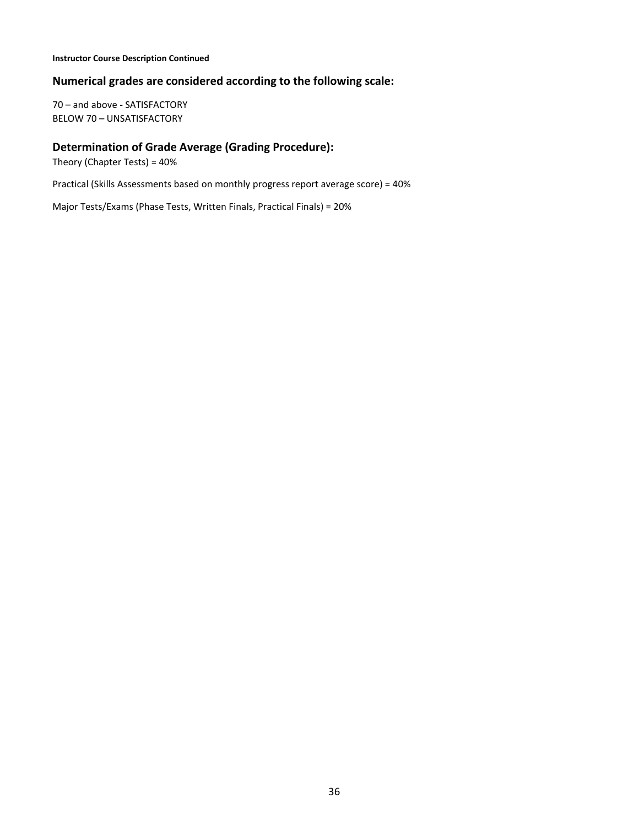#### **Instructor Course Description Continued**

#### **Numerical grades are considered according to the following scale:**

70 – and above - SATISFACTORY BELOW 70 – UNSATISFACTORY

#### **Determination of Grade Average (Grading Procedure):**

Theory (Chapter Tests) = 40%

Practical (Skills Assessments based on monthly progress report average score) = 40%

Major Tests/Exams (Phase Tests, Written Finals, Practical Finals) = 20%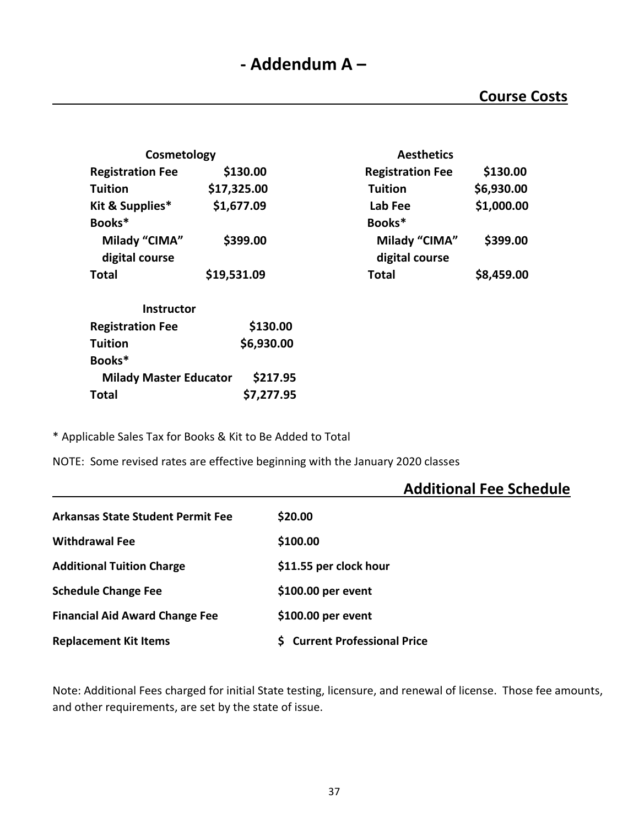| Cosmetology                   |             | <b>Aesthetics</b>       |            |
|-------------------------------|-------------|-------------------------|------------|
| <b>Registration Fee</b>       | \$130.00    | <b>Registration Fee</b> | \$130.00   |
| Tuition                       | \$17,325.00 | <b>Tuition</b>          | \$6,930.00 |
| Kit & Supplies*               | \$1,677.09  | Lab Fee                 | \$1,000.00 |
| Books*                        |             | Books*                  |            |
| Milady "CIMA"                 | \$399.00    | Milady "CIMA"           | \$399.00   |
| digital course                |             | digital course          |            |
| Total                         | \$19,531.09 | <b>Total</b>            | \$8,459.00 |
| <b>Instructor</b>             |             |                         |            |
| <b>Registration Fee</b>       | \$130.00    |                         |            |
| <b>Tuition</b>                | \$6,930.00  |                         |            |
| Books*                        |             |                         |            |
| <b>Milady Master Educator</b> | \$217.95    |                         |            |
| Total                         | \$7,277.95  |                         |            |

| <b>Aesthetics</b>       |            |
|-------------------------|------------|
| <b>Registration Fee</b> | \$130.00   |
| <b>Tuition</b>          | \$6,930.00 |
| Lab Fee                 | \$1,000.00 |
| Books*                  |            |
| Milady "CIMA"           | \$399.00   |
| digital course          |            |
| <b>Total</b>            | \$8,459.00 |

\* Applicable Sales Tax for Books & Kit to Be Added to Total

NOTE: Some revised rates are effective beginning with the January 2020 classes

## **Additional Fee Schedule**

| <b>Arkansas State Student Permit Fee</b> | \$20.00                           |
|------------------------------------------|-----------------------------------|
| <b>Withdrawal Fee</b>                    | \$100.00                          |
| <b>Additional Tuition Charge</b>         | \$11.55 per clock hour            |
| <b>Schedule Change Fee</b>               | \$100.00 per event                |
| <b>Financial Aid Award Change Fee</b>    | \$100.00 per event                |
| <b>Replacement Kit Items</b>             | <b>Current Professional Price</b> |

Note: Additional Fees charged for initial State testing, licensure, and renewal of license. Those fee amounts, and other requirements, are set by the state of issue.